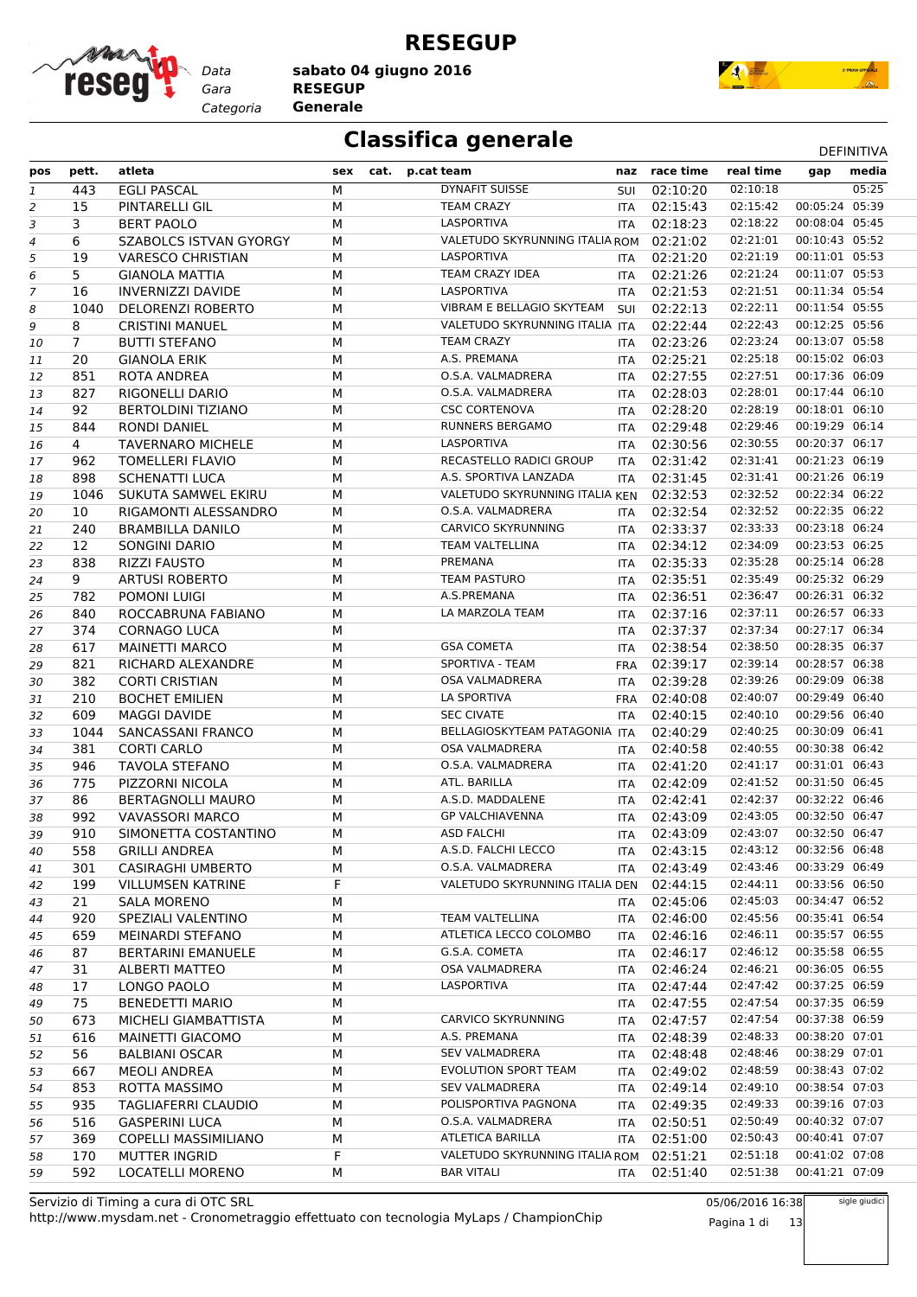

**RESEGUP**

*Gara* **RESEGUP sabato 04 giugno 2016**

*Categoria* **Generale**



### **Classifica generale** Definitival DEFINITIVA

|                | pett.          | atleta                        | sex    |      | p.cat team                              |            | naz race time | real time               |                | media |
|----------------|----------------|-------------------------------|--------|------|-----------------------------------------|------------|---------------|-------------------------|----------------|-------|
| pos            |                |                               |        | cat. |                                         |            |               | 02:10:18                | gap            | 05:25 |
| $\mathbf{1}$   | 443            | <b>EGLI PASCAL</b>            | M      |      | <b>DYNAFIT SUISSE</b>                   | SUI        | 02:10:20      |                         |                |       |
| 2              | 15             | PINTARELLI GIL                | М      |      | <b>TEAM CRAZY</b>                       | <b>ITA</b> | 02:15:43      | 02:15:42                | 00:05:24 05:39 |       |
| 3              | 3              | <b>BERT PAOLO</b>             | М      |      | LASPORTIVA                              | <b>ITA</b> | 02:18:23      | 02:18:22                | 00:08:04 05:45 |       |
| 4              | 6              | <b>SZABOLCS ISTVAN GYORGY</b> | М      |      | VALETUDO SKYRUNNING ITALIA ROM          |            | 02:21:02      | 02:21:01                | 00:10:43 05:52 |       |
| 5              | 19             | <b>VARESCO CHRISTIAN</b>      | М      |      | LASPORTIVA                              | <b>ITA</b> | 02:21:20      | 02:21:19                | 00:11:01 05:53 |       |
| 6              | 5              | <b>GIANOLA MATTIA</b>         | M      |      | TEAM CRAZY IDEA                         |            | ITA 02:21:26  | 02:21:24                | 00:11:07 05:53 |       |
| $\overline{7}$ | 16             | INVERNIZZI DAVIDE             | М      |      | LASPORTIVA                              | <b>ITA</b> | 02:21:53      | 02:21:51                | 00:11:34 05:54 |       |
| 8              | 1040           | <b>DELORENZI ROBERTO</b>      | М      |      | VIBRAM E BELLAGIO SKYTEAM               | SUI        | 02:22:13      | 02:22:11                | 00:11:54 05:55 |       |
| 9              | 8              | <b>CRISTINI MANUEL</b>        | М      |      | VALETUDO SKYRUNNING ITALIA ITA          |            | 02:22:44      | 02:22:43                | 00:12:25 05:56 |       |
| 10             | $\overline{7}$ | <b>BUTTI STEFANO</b>          | М      |      | <b>TEAM CRAZY</b>                       | <b>ITA</b> | 02:23:26      | 02:23:24                | 00:13:07 05:58 |       |
| 11             | 20             | <b>GIANOLA ERIK</b>           | М      |      | A.S. PREMANA                            | <b>ITA</b> | 02:25:21      | 02:25:18                | 00:15:02 06:03 |       |
| 12             | 851            | ROTA ANDREA                   | M      |      | O.S.A. VALMADRERA                       |            | ITA 02:27:55  | 02:27:51                | 00:17:36 06:09 |       |
| 13             | 827            | RIGONELLI DARIO               | М      |      | O.S.A. VALMADRERA                       | <b>ITA</b> | 02:28:03      | 02:28:01                | 00:17:44 06:10 |       |
| 14             | 92             | <b>BERTOLDINI TIZIANO</b>     | М      |      | <b>CSC CORTENOVA</b>                    | <b>ITA</b> | 02:28:20      | 02:28:19                | 00:18:01 06:10 |       |
| 15             | 844            | <b>RONDI DANIEL</b>           | М      |      | <b>RUNNERS BERGAMO</b>                  |            | ITA 02:29:48  | 02:29:46                | 00:19:29 06:14 |       |
| 16             | 4              | <b>TAVERNARO MICHELE</b>      | М      |      | LASPORTIVA                              | ITA        | 02:30:56      | 02:30:55                | 00:20:37 06:17 |       |
| 17             | 962            | <b>TOMELLERI FLAVIO</b>       | М      |      | RECASTELLO RADICI GROUP                 | <b>ITA</b> | 02:31:42      | 02:31:41                | 00:21:23 06:19 |       |
|                | 898            | <b>SCHENATTI LUCA</b>         | M      |      | A.S. SPORTIVA LANZADA                   |            | ITA 02:31:45  | 02:31:41                | 00:21:26 06:19 |       |
| 18             | 1046           | SUKUTA SAMWEL EKIRU           | М      |      | VALETUDO SKYRUNNING ITALIA KEN          |            | 02:32:53      | 02:32:52                | 00:22:34 06:22 |       |
| 19             |                |                               |        |      | O.S.A. VALMADRERA                       |            |               | 02:32:52                | 00:22:35 06:22 |       |
| 20             | 10             | RIGAMONTI ALESSANDRO          | M      |      |                                         | <b>ITA</b> | 02:32:54      |                         |                |       |
| 21             | 240            | <b>BRAMBILLA DANILO</b>       | М      |      | <b>CARVICO SKYRUNNING</b>               | ITA        | 02:33:37      | 02:33:33                | 00:23:18 06:24 |       |
| 22             | 12             | <b>SONGINI DARIO</b>          | М      |      | <b>TEAM VALTELLINA</b>                  | ITA        | 02:34:12      | 02:34:09                | 00:23:53 06:25 |       |
| 23             | 838            | <b>RIZZI FAUSTO</b>           | М      |      | PREMANA                                 | <b>ITA</b> | 02:35:33      | 02:35:28                | 00:25:14 06:28 |       |
| 24             | 9              | <b>ARTUSI ROBERTO</b>         | M      |      | <b>TEAM PASTURO</b>                     |            | ITA 02:35:51  | 02:35:49                | 00:25:32 06:29 |       |
| 25             | 782            | POMONI LUIGI                  | М      |      | A.S.PREMANA                             | ITA        | 02:36:51      | 02:36:47                | 00:26:31 06:32 |       |
| 26             | 840            | ROCCABRUNA FABIANO            | М      |      | LA MARZOLA TEAM                         | <b>ITA</b> | 02:37:16      | 02:37:11                | 00:26:57 06:33 |       |
| 27             | 374            | <b>CORNAGO LUCA</b>           | М      |      |                                         | ITA        | 02:37:37      | 02:37:34                | 00:27:17 06:34 |       |
| 28             | 617            | <b>MAINETTI MARCO</b>         | М      |      | <b>GSA COMETA</b>                       | ITA        | 02:38:54      | 02:38:50                | 00:28:35 06:37 |       |
| 29             | 821            | RICHARD ALEXANDRE             | М      |      | SPORTIVA - TEAM                         |            | FRA 02:39:17  | 02:39:14                | 00:28:57 06:38 |       |
| 30             | 382            | <b>CORTI CRISTIAN</b>         | М      |      | <b>OSA VALMADRERA</b>                   |            | ITA 02:39:28  | 02:39:26                | 00:29:09 06:38 |       |
| 31             | 210            | <b>BOCHET EMILIEN</b>         | М      |      | LA SPORTIVA                             | FRA        | 02:40:08      | 02:40:07                | 00:29:49 06:40 |       |
| 32             | 609            | <b>MAGGI DAVIDE</b>           | М      |      | <b>SEC CIVATE</b>                       | <b>ITA</b> | 02:40:15      | 02:40:10                | 00:29:56 06:40 |       |
| 33             | 1044           | SANCASSANI FRANCO             | M      |      | BELLAGIOSKYTEAM PATAGONIA ITA           |            | 02:40:29      | 02:40:25                | 00:30:09 06:41 |       |
| 34             | 381            | <b>CORTI CARLO</b>            | M      |      | <b>OSA VALMADRERA</b>                   | ITA        | 02:40:58      | 02:40:55                | 00:30:38 06:42 |       |
| 35             | 946            | <b>TAVOLA STEFANO</b>         | М      |      | O.S.A. VALMADRERA                       | ITA        | 02:41:20      | 02:41:17                | 00:31:01 06:43 |       |
| 36             | 775            | PIZZORNI NICOLA               | М      |      | ATL. BARILLA                            |            | ITA 02:42:09  | 02:41:52                | 00:31:50 06:45 |       |
| 37             | 86             | <b>BERTAGNOLLI MAURO</b>      | М      |      | A.S.D. MADDALENE                        | ITA        | 02:42:41      | 02:42:37                | 00:32:22 06:46 |       |
| 38             | 992            | <b>VAVASSORI MARCO</b>        | М      |      | <b>GP VALCHIAVENNA</b>                  | <b>ITA</b> | 02:43:09      | 02:43:05                | 00:32:50 06:47 |       |
| 39             | 910            | SIMONETTA COSTANTINO          | M      |      | <b>ASD FALCHI</b>                       |            | ITA 02:43:09  | 02:43:07                | 00:32:50 06:47 |       |
|                | 558            | <b>GRILLI ANDREA</b>          |        |      | A.S.D. FALCHI LECCO                     |            | 02:43:15      | 02:43:12 00:32:56 06:48 |                |       |
| 40             | 301            | <b>CASIRAGHI UMBERTO</b>      | М<br>М |      | O.S.A. VALMADRERA                       | ITA        | 02:43:49      | 02:43:46                | 00:33:29 06:49 |       |
| 41             | 199            | <b>VILLUMSEN KATRINE</b>      | F      |      | VALETUDO SKYRUNNING ITALIA DEN 02:44:15 | ITA        |               | 02:44:11                | 00:33:56 06:50 |       |
| 42             |                |                               |        |      |                                         |            |               | 02:45:03                | 00:34:47 06:52 |       |
| 43             | 21             | <b>SALA MORENO</b>            | М      |      | TEAM VALTELLINA                         | ITA        | 02:45:06      |                         |                |       |
| 44             | 920            | SPEZIALI VALENTINO            | М      |      |                                         | ITA        | 02:46:00      | 02:45:56                | 00:35:41 06:54 |       |
| 45             | 659            | MEINARDI STEFANO              | м      |      | ATLETICA LECCO COLOMBO                  | ITA        | 02:46:16      | 02:46:11                | 00:35:57 06:55 |       |
| 46             | 87             | <b>BERTARINI EMANUELE</b>     | М      |      | G.S.A. COMETA                           | ITA        | 02:46:17      | 02:46:12                | 00:35:58 06:55 |       |
| 47             | 31             | ALBERTI MATTEO                | М      |      | OSA VALMADRERA                          | ITA        | 02:46:24      | 02:46:21                | 00:36:05 06:55 |       |
| 48             | 17             | LONGO PAOLO                   | м      |      | LASPORTIVA                              |            | ITA 02:47:44  | 02:47:42                | 00:37:25 06:59 |       |
| 49             | 75             | <b>BENEDETTI MARIO</b>        | М      |      |                                         | ITA        | 02:47:55      | 02:47:54                | 00:37:35 06:59 |       |
| 50             | 673            | MICHELI GIAMBATTISTA          | М      |      | <b>CARVICO SKYRUNNING</b>               | ITA        | 02:47:57      | 02:47:54                | 00:37:38 06:59 |       |
| 51             | 616            | MAINETTI GIACOMO              | м      |      | A.S. PREMANA                            | ITA        | 02:48:39      | 02:48:33                | 00:38:20 07:01 |       |
| 52             | 56             | <b>BALBIANI OSCAR</b>         | М      |      | <b>SEV VALMADRERA</b>                   | ITA        | 02:48:48      | 02:48:46                | 00:38:29 07:01 |       |
| 53             | 667            | MEOLI ANDREA                  | М      |      | EVOLUTION SPORT TEAM                    | ITA        | 02:49:02      | 02:48:59                | 00:38:43 07:02 |       |
| 54             | 853            | ROTTA MASSIMO                 | М      |      | <b>SEV VALMADRERA</b>                   | ITA        | 02:49:14      | 02:49:10                | 00:38:54 07:03 |       |
| 55             | 935            | TAGLIAFERRI CLAUDIO           | М      |      | POLISPORTIVA PAGNONA                    | ITA        | 02:49:35      | 02:49:33                | 00:39:16 07:03 |       |
| 56             | 516            | <b>GASPERINI LUCA</b>         | М      |      | O.S.A. VALMADRERA                       | ITA        | 02:50:51      | 02:50:49                | 00:40:32 07:07 |       |
| 57             | 369            | <b>COPELLI MASSIMILIANO</b>   | М      |      | ATLETICA BARILLA                        | <b>ITA</b> | 02:51:00      | 02:50:43                | 00:40:41 07:07 |       |
| 58             | 170            | <b>MUTTER INGRID</b>          | F      |      | VALETUDO SKYRUNNING ITALIA ROM          |            | 02:51:21      | 02:51:18                | 00:41:02 07:08 |       |
| 59             | 592            | LOCATELLI MORENO              | М      |      | <b>BAR VITALI</b>                       | ITA        | 02:51:40      | 02:51:38                | 00:41:21 07:09 |       |
|                |                |                               |        |      |                                         |            |               |                         |                |       |

http://www.mysdam.net - Cronometraggio effettuato con tecnologia MyLaps / ChampionChip Servizio di Timing a cura di OTC SRL

05/06/2016 16:38 Pagina 1 di 13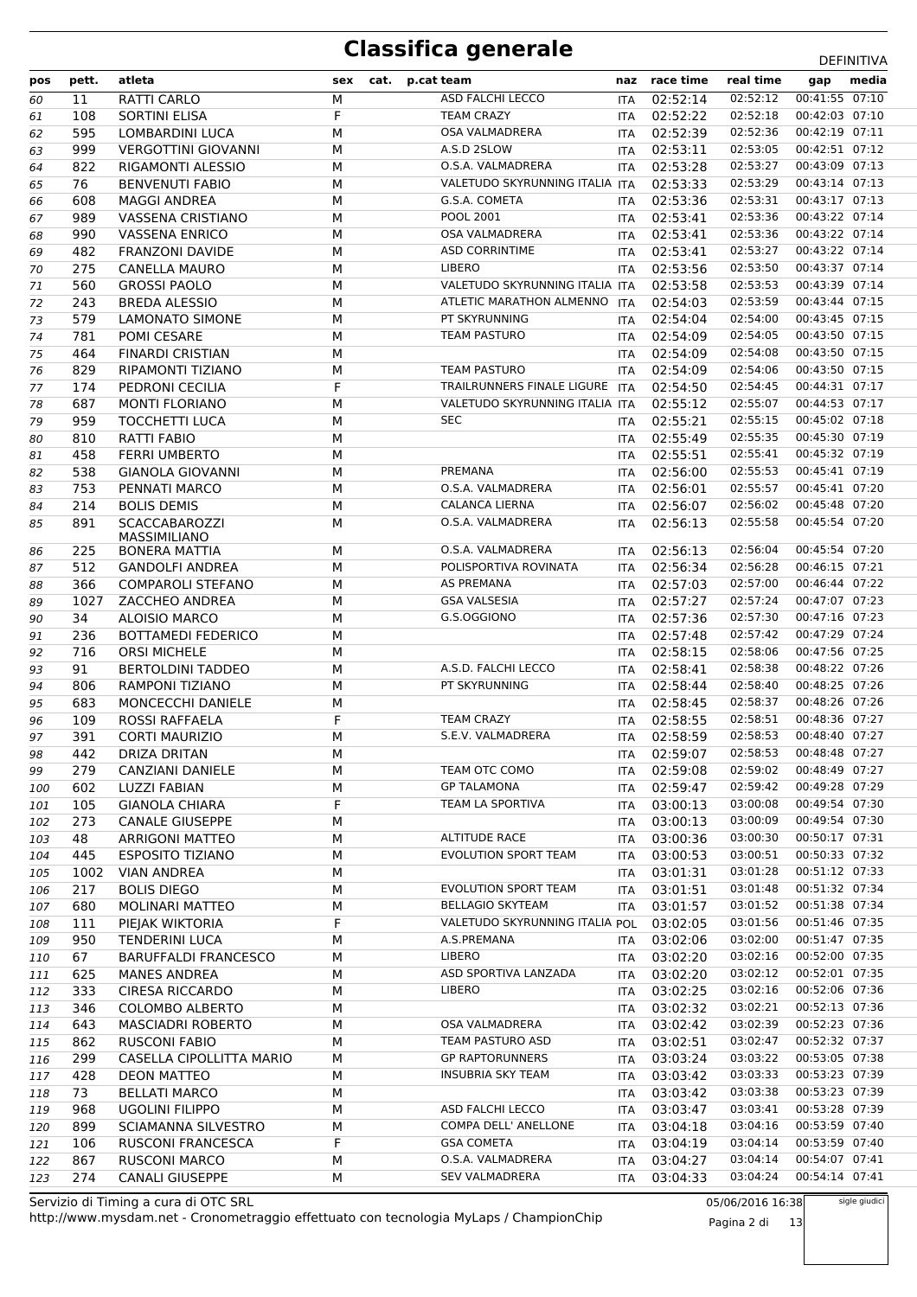| pos | pett. | atleta                      | sex | cat. | p.cat team                              |            | naz race time | real time | gap            | media |
|-----|-------|-----------------------------|-----|------|-----------------------------------------|------------|---------------|-----------|----------------|-------|
| 60  | 11    | RATTI CARLO                 | M   |      | ASD FALCHI LECCO                        | <b>ITA</b> | 02:52:14      | 02:52:12  | 00:41:55 07:10 |       |
| 61  | 108   | SORTINI ELISA               | F   |      | <b>TEAM CRAZY</b>                       | <b>ITA</b> | 02:52:22      | 02:52:18  | 00:42:03 07:10 |       |
| 62  | 595   | LOMBARDINI LUCA             | M   |      | OSA VALMADRERA                          | <b>ITA</b> | 02:52:39      | 02:52:36  | 00:42:19 07:11 |       |
| 63  | 999   | <b>VERGOTTINI GIOVANNI</b>  | M   |      | A.S.D 2SLOW                             | <b>ITA</b> | 02:53:11      | 02:53:05  | 00:42:51 07:12 |       |
| 64  | 822   | RIGAMONTI ALESSIO           | M   |      | O.S.A. VALMADRERA                       | <b>ITA</b> | 02:53:28      | 02:53:27  | 00:43:09 07:13 |       |
| 65  | 76    | <b>BENVENUTI FABIO</b>      | M   |      | VALETUDO SKYRUNNING ITALIA ITA          |            | 02:53:33      | 02:53:29  | 00:43:14 07:13 |       |
| 66  | 608   | <b>MAGGI ANDREA</b>         | M   |      | G.S.A. COMETA                           | ITA.       | 02:53:36      | 02:53:31  | 00:43:17 07:13 |       |
| 67  | 989   | VASSENA CRISTIANO           | M   |      | POOL 2001                               | ITA        | 02:53:41      | 02:53:36  | 00:43:22 07:14 |       |
| 68  | 990   | <b>VASSENA ENRICO</b>       | M   |      | OSA VALMADRERA                          | <b>ITA</b> | 02:53:41      | 02:53:36  | 00:43:22 07:14 |       |
| 69  | 482   | <b>FRANZONI DAVIDE</b>      | M   |      | <b>ASD CORRINTIME</b>                   | ITA        | 02:53:41      | 02:53:27  | 00:43:22 07:14 |       |
| 70  | 275   | <b>CANELLA MAURO</b>        | M   |      | LIBERO                                  | <b>ITA</b> | 02:53:56      | 02:53:50  | 00:43:37 07:14 |       |
| 71  | 560   | <b>GROSSI PAOLO</b>         | M   |      | VALETUDO SKYRUNNING ITALIA ITA          |            | 02:53:58      | 02:53:53  | 00:43:39 07:14 |       |
| 72  | 243   | <b>BREDA ALESSIO</b>        | M   |      | ATLETIC MARATHON ALMENNO                | <b>ITA</b> | 02:54:03      | 02:53:59  | 00:43:44 07:15 |       |
| 73  | 579   | LAMONATO SIMONE             | M   |      | PT SKYRUNNING                           | ITA.       | 02:54:04      | 02:54:00  | 00:43:45 07:15 |       |
| 74  | 781   | POMI CESARE                 | M   |      | <b>TEAM PASTURO</b>                     | <b>ITA</b> | 02:54:09      | 02:54:05  | 00:43:50 07:15 |       |
| 75  | 464   | <b>FINARDI CRISTIAN</b>     | M   |      |                                         | <b>ITA</b> | 02:54:09      | 02:54:08  | 00:43:50 07:15 |       |
| 76  | 829   | RIPAMONTI TIZIANO           | M   |      | <b>TEAM PASTURO</b>                     | <b>ITA</b> | 02:54:09      | 02:54:06  | 00:43:50 07:15 |       |
| 77  | 174   | PEDRONI CECILIA             | F   |      | TRAILRUNNERS FINALE LIGURE              | <b>ITA</b> | 02:54:50      | 02:54:45  | 00:44:31 07:17 |       |
| 78  | 687   | <b>MONTI FLORIANO</b>       | M   |      | VALETUDO SKYRUNNING ITALIA ITA          |            | 02:55:12      | 02:55:07  | 00:44:53 07:17 |       |
| 79  | 959   | <b>TOCCHETTI LUCA</b>       | M   |      | <b>SEC</b>                              | <b>ITA</b> | 02:55:21      | 02:55:15  | 00:45:02 07:18 |       |
| 80  | 810   | <b>RATTI FABIO</b>          | M   |      |                                         | <b>ITA</b> | 02:55:49      | 02:55:35  | 00:45:30 07:19 |       |
| 81  | 458   | <b>FERRI UMBERTO</b>        | M   |      |                                         | ITA        | 02:55:51      | 02:55:41  | 00:45:32 07:19 |       |
| 82  | 538   | <b>GIANOLA GIOVANNI</b>     | M   |      | PREMANA                                 | <b>ITA</b> | 02:56:00      | 02:55:53  | 00:45:41 07:19 |       |
| 83  | 753   | PENNATI MARCO               | M   |      | O.S.A. VALMADRERA                       | <b>ITA</b> | 02:56:01      | 02:55:57  | 00:45:41 07:20 |       |
|     | 214   | <b>BOLIS DEMIS</b>          | М   |      | <b>CALANCA LIERNA</b>                   |            | 02:56:07      | 02:56:02  | 00:45:48 07:20 |       |
| 84  | 891   | <b>SCACCABAROZZI</b>        | М   |      | O.S.A. VALMADRERA                       | ITA        | 02:56:13      | 02:55:58  | 00:45:54 07:20 |       |
| 85  |       | MASSIMILIANO                |     |      |                                         | <b>ITA</b> |               |           |                |       |
| 86  | 225   | <b>BONERA MATTIA</b>        | M   |      | O.S.A. VALMADRERA                       | <b>ITA</b> | 02:56:13      | 02:56:04  | 00:45:54 07:20 |       |
| 87  | 512   | <b>GANDOLFI ANDREA</b>      | M   |      | POLISPORTIVA ROVINATA                   | <b>ITA</b> | 02:56:34      | 02:56:28  | 00:46:15 07:21 |       |
| 88  | 366   | <b>COMPAROLI STEFANO</b>    | M   |      | AS PREMANA                              | <b>ITA</b> | 02:57:03      | 02:57:00  | 00:46:44 07:22 |       |
| 89  | 1027  | ZACCHEO ANDREA              | M   |      | <b>GSA VALSESIA</b>                     | <b>ITA</b> | 02:57:27      | 02:57:24  | 00:47:07 07:23 |       |
| 90  | 34    | <b>ALOISIO MARCO</b>        | M   |      | G.S.OGGIONO                             | <b>ITA</b> | 02:57:36      | 02:57:30  | 00:47:16 07:23 |       |
| 91  | 236   | <b>BOTTAMEDI FEDERICO</b>   | M   |      |                                         | <b>ITA</b> | 02:57:48      | 02:57:42  | 00:47:29 07:24 |       |
| 92  | 716   | <b>ORSI MICHELE</b>         | M   |      |                                         | <b>ITA</b> | 02:58:15      | 02:58:06  | 00:47:56 07:25 |       |
| 93  | 91    | <b>BERTOLDINI TADDEO</b>    | M   |      | A.S.D. FALCHI LECCO                     | <b>ITA</b> | 02:58:41      | 02:58:38  | 00:48:22 07:26 |       |
| 94  | 806   | <b>RAMPONI TIZIANO</b>      | M   |      | PT SKYRUNNING                           | <b>ITA</b> | 02:58:44      | 02:58:40  | 00:48:25 07:26 |       |
| 95  | 683   | <b>MONCECCHI DANIELE</b>    | М   |      |                                         | ITA        | 02:58:45      | 02:58:37  | 00:48:26 07:26 |       |
| 96  | 109   | <b>ROSSI RAFFAELA</b>       | F   |      | <b>TEAM CRAZY</b>                       | <b>ITA</b> | 02:58:55      | 02:58:51  | 00:48:36 07:27 |       |
| 97  | 391   | <b>CORTI MAURIZIO</b>       | M   |      | S.E.V. VALMADRERA                       | <b>ITA</b> | 02:58:59      | 02:58:53  | 00:48:40 07:27 |       |
| 98  | 442   | <b>DRIZA DRITAN</b>         | М   |      |                                         | <b>ITA</b> | 02:59:07      | 02:58:53  | 00:48:48 07:27 |       |
| 99  | 279   | CANZIANI DANIELE            | M   |      | TEAM OTC COMO                           |            | ITA 02:59:08  | 02:59:02  | 00:48:49 07:27 |       |
| 100 | 602   | <b>LUZZI FABIAN</b>         | М   |      | <b>GP TALAMONA</b>                      | ITA        | 02:59:47      | 02:59:42  | 00:49:28 07:29 |       |
| 101 | 105   | <b>GIANOLA CHIARA</b>       | F   |      | TEAM LA SPORTIVA                        |            | ITA 03:00:13  | 03:00:08  | 00:49:54 07:30 |       |
| 102 | 273   | <b>CANALE GIUSEPPE</b>      | M   |      |                                         |            | ITA 03:00:13  | 03:00:09  | 00:49:54 07:30 |       |
| 103 | 48    | <b>ARRIGONI MATTEO</b>      | М   |      | <b>ALTITUDE RACE</b>                    | ITA        | 03:00:36      | 03:00:30  | 00:50:17 07:31 |       |
| 104 | 445   | <b>ESPOSITO TIZIANO</b>     | М   |      | <b>EVOLUTION SPORT TEAM</b>             | ITA        | 03:00:53      | 03:00:51  | 00:50:33 07:32 |       |
| 105 | 1002  | <b>VIAN ANDREA</b>          | М   |      |                                         |            | ITA 03:01:31  | 03:01:28  | 00:51:12 07:33 |       |
| 106 | 217   | <b>BOLIS DIEGO</b>          | M   |      | <b>EVOLUTION SPORT TEAM</b>             | ITA        | 03:01:51      | 03:01:48  | 00:51:32 07:34 |       |
| 107 | 680   | MOLINARI MATTEO             | М   |      | <b>BELLAGIO SKYTEAM</b>                 |            | ITA 03:01:57  | 03:01:52  | 00:51:38 07:34 |       |
| 108 | 111   | PIEJAK WIKTORIA             | F   |      | VALETUDO SKYRUNNING ITALIA POL 03:02:05 |            |               | 03:01:56  | 00:51:46 07:35 |       |
| 109 | 950   | <b>TENDERINI LUCA</b>       | М   |      | A.S.PREMANA                             | ITA        | 03:02:06      | 03:02:00  | 00:51:47 07:35 |       |
| 110 | 67    | <b>BARUFFALDI FRANCESCO</b> | М   |      | <b>LIBERO</b>                           |            | ITA 03:02:20  | 03:02:16  | 00:52:00 07:35 |       |
| 111 | 625   | <b>MANES ANDREA</b>         | М   |      | ASD SPORTIVA LANZADA                    |            | ITA 03:02:20  | 03:02:12  | 00:52:01 07:35 |       |
| 112 | 333   | <b>CIRESA RICCARDO</b>      | М   |      | <b>LIBERO</b>                           |            | ITA 03:02:25  | 03:02:16  | 00:52:06 07:36 |       |
| 113 | 346   | <b>COLOMBO ALBERTO</b>      | М   |      |                                         |            | ITA 03:02:32  | 03:02:21  | 00:52:13 07:36 |       |
| 114 | 643   | <b>MASCIADRI ROBERTO</b>    | М   |      | OSA VALMADRERA                          |            | ITA 03:02:42  | 03:02:39  | 00:52:23 07:36 |       |
| 115 | 862   | <b>RUSCONI FABIO</b>        | М   |      | TEAM PASTURO ASD                        | ITA        | 03:02:51      | 03:02:47  | 00:52:32 07:37 |       |
| 116 | 299   | CASELLA CIPOLLITTA MARIO    | М   |      | <b>GP RAPTORUNNERS</b>                  |            | ITA 03:03:24  | 03:03:22  | 00:53:05 07:38 |       |
| 117 | 428   | <b>DEON MATTEO</b>          | М   |      | <b>INSUBRIA SKY TEAM</b>                |            | ITA 03:03:42  | 03:03:33  | 00:53:23 07:39 |       |
| 118 | 73    | <b>BELLATI MARCO</b>        | М   |      |                                         |            | ITA 03:03:42  | 03:03:38  | 00:53:23 07:39 |       |
| 119 | 968   | <b>UGOLINI FILIPPO</b>      | М   |      | ASD FALCHI LECCO                        |            | ITA 03:03:47  | 03:03:41  | 00:53:28 07:39 |       |
| 120 | 899   | SCIAMANNA SILVESTRO         | М   |      | COMPA DELL' ANELLONE                    |            | ITA 03:04:18  | 03:04:16  | 00:53:59 07:40 |       |
| 121 | 106   | <b>RUSCONI FRANCESCA</b>    | F   |      | <b>GSA COMETA</b>                       | ITA        | 03:04:19      | 03:04:14  | 00:53:59 07:40 |       |
| 122 | 867   | <b>RUSCONI MARCO</b>        | М   |      | O.S.A. VALMADRERA                       | ITA        | 03:04:27      | 03:04:14  | 00:54:07 07:41 |       |
| 123 | 274   | <b>CANALI GIUSEPPE</b>      | М   |      | SEV VALMADRERA                          | ITA        | 03:04:33      | 03:04:24  | 00:54:14 07:41 |       |
|     |       |                             |     |      |                                         |            |               |           |                |       |

http://www.mysdam.net - Cronometraggio effettuato con tecnologia MyLaps / ChampionChip Servizio di Timing a cura di OTC SRL

05/06/2016 16:38

Pagina 2 di 13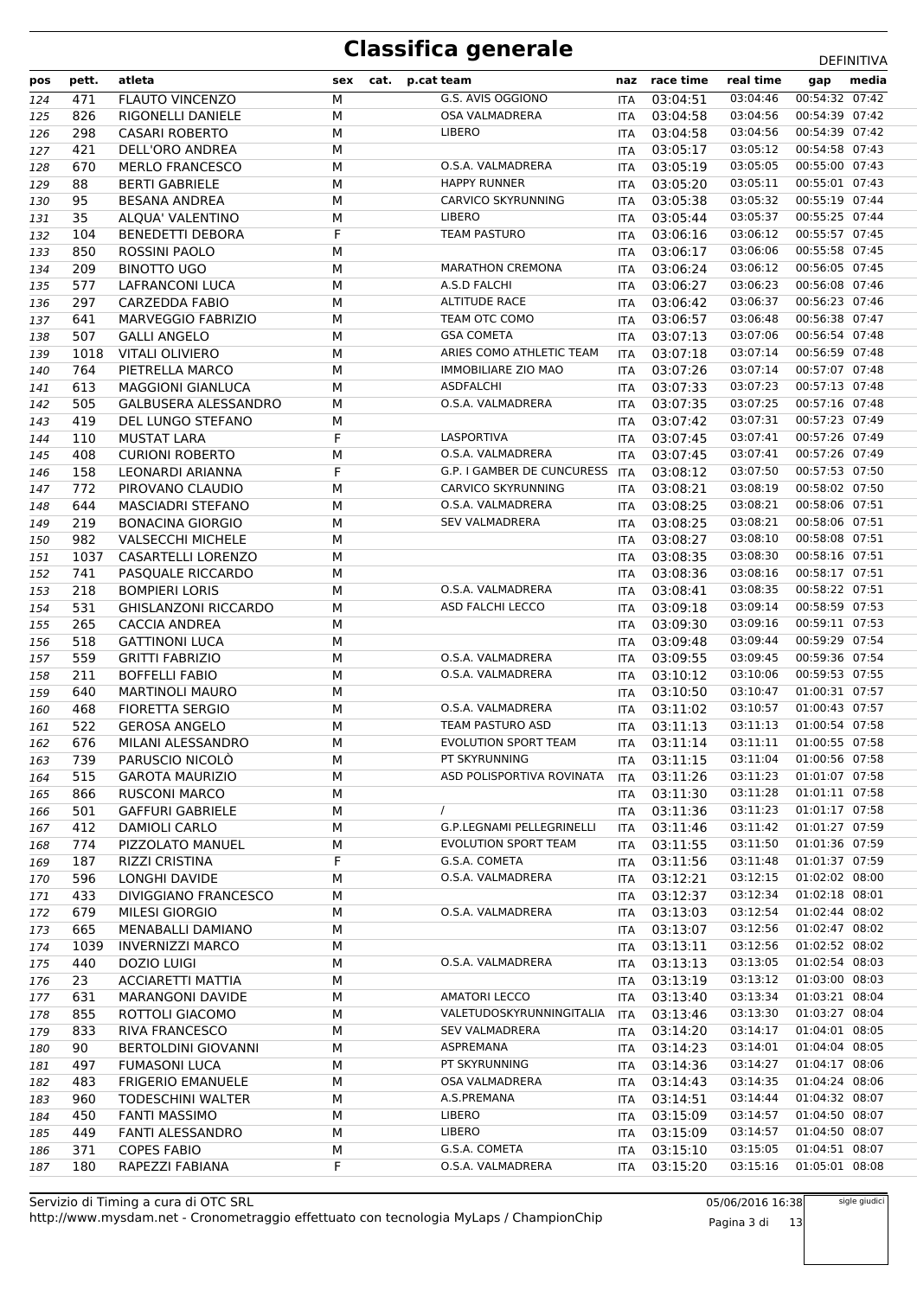| pos        | pett.       | atleta                                       | sex    | cat. | p.cat team                  |            | naz race time                        | real time            | gap                              | media |
|------------|-------------|----------------------------------------------|--------|------|-----------------------------|------------|--------------------------------------|----------------------|----------------------------------|-------|
| 124        | 471         | <b>FLAUTO VINCENZO</b>                       | M      |      | G.S. AVIS OGGIONO           | <b>ITA</b> | 03:04:51                             | 03:04:46             | 00:54:32 07:42                   |       |
| 125        | 826         | RIGONELLI DANIELE                            | M      |      | OSA VALMADRERA              | <b>ITA</b> | 03:04:58                             | 03:04:56             | 00:54:39 07:42                   |       |
| 126        | 298         | <b>CASARI ROBERTO</b>                        | M      |      | <b>LIBERO</b>               | ITA        | 03:04:58                             | 03:04:56             | 00:54:39 07:42                   |       |
| 127        | 421         | DELL'ORO ANDREA                              | М      |      |                             | ITA        | 03:05:17                             | 03:05:12             | 00:54:58 07:43                   |       |
| 128        | 670         | <b>MERLO FRANCESCO</b>                       | M      |      | O.S.A. VALMADRERA           | <b>ITA</b> | 03:05:19                             | 03:05:05             | 00:55:00 07:43                   |       |
| 129        | 88          | <b>BERTI GABRIELE</b>                        | M      |      | <b>HAPPY RUNNER</b>         | <b>ITA</b> | 03:05:20                             | 03:05:11             | 00:55:01 07:43                   |       |
| 130        | 95          | <b>BESANA ANDREA</b>                         | М      |      | <b>CARVICO SKYRUNNING</b>   | <b>ITA</b> | 03:05:38                             | 03:05:32             | 00:55:19 07:44                   |       |
| 131        | 35          | ALQUA' VALENTINO                             | M      |      | <b>LIBERO</b>               | <b>ITA</b> | 03:05:44                             | 03:05:37             | 00:55:25 07:44                   |       |
| 132        | 104         | <b>BENEDETTI DEBORA</b>                      | F      |      | <b>TEAM PASTURO</b>         | ITA        | 03:06:16                             | 03:06:12             | 00:55:57 07:45                   |       |
| 133        | 850         | <b>ROSSINI PAOLO</b>                         | M      |      |                             | ITA        | 03:06:17                             | 03:06:06             | 00:55:58 07:45                   |       |
| 134        | 209         | <b>BINOTTO UGO</b>                           | M      |      | <b>MARATHON CREMONA</b>     | ITA        | 03:06:24                             | 03:06:12             | 00:56:05 07:45                   |       |
| 135        | 577         | <b>LAFRANCONI LUCA</b>                       | M      |      | A.S.D FALCHI                | <b>ITA</b> | 03:06:27                             | 03:06:23             | 00:56:08 07:46                   |       |
| 136        | 297         | CARZEDDA FABIO                               | M      |      | <b>ALTITUDE RACE</b>        | ITA        | 03:06:42                             | 03:06:37             | 00:56:23 07:46                   |       |
| 137        | 641         | MARVEGGIO FABRIZIO                           | M      |      | TEAM OTC COMO               | <b>ITA</b> | 03:06:57                             | 03:06:48             | 00:56:38 07:47                   |       |
| 138        | 507         | <b>GALLI ANGELO</b>                          | M      |      | <b>GSA COMETA</b>           | ITA        | 03:07:13                             | 03:07:06             | 00:56:54 07:48                   |       |
| 139        | 1018        | <b>VITALI OLIVIERO</b>                       | М      |      | ARIES COMO ATHLETIC TEAM    | ITA        | 03:07:18                             | 03:07:14             | 00:56:59 07:48                   |       |
| 140        | 764         | PIETRELLA MARCO                              | M      |      | <b>IMMOBILIARE ZIO MAO</b>  | <b>ITA</b> | 03:07:26                             | 03:07:14             | 00:57:07 07:48                   |       |
| 141        | 613         | <b>MAGGIONI GIANLUCA</b>                     | M      |      | <b>ASDFALCHI</b>            | <b>ITA</b> | 03:07:33                             | 03:07:23             | 00:57:13 07:48                   |       |
| 142        | 505         | <b>GALBUSERA ALESSANDRO</b>                  | М      |      | O.S.A. VALMADRERA           | ITA        | 03:07:35                             | 03:07:25             | 00:57:16 07:48                   |       |
| 143        | 419         | DEL LUNGO STEFANO                            | М      |      |                             | <b>ITA</b> | 03:07:42                             | 03:07:31             | 00:57:23 07:49                   |       |
| 144        | 110         | <b>MUSTAT LARA</b>                           | F      |      | LASPORTIVA                  | ITA        | 03:07:45                             | 03:07:41             | 00:57:26 07:49                   |       |
| 145        | 408         | <b>CURIONI ROBERTO</b>                       | M      |      | O.S.A. VALMADRERA           | ITA        | 03:07:45                             | 03:07:41             | 00:57:26 07:49                   |       |
| 146        | 158         | LEONARDI ARIANNA                             | F      |      | G.P. I GAMBER DE CUNCURESS  | ITA        | 03:08:12                             | 03:07:50             | 00:57:53 07:50                   |       |
| 147        | 772         | PIROVANO CLAUDIO                             | M      |      | <b>CARVICO SKYRUNNING</b>   | <b>ITA</b> | 03:08:21                             | 03:08:19             | 00:58:02 07:50                   |       |
| 148        | 644         | <b>MASCIADRI STEFANO</b>                     | М      |      | O.S.A. VALMADRERA           | ITA        | 03:08:25                             | 03:08:21             | 00:58:06 07:51                   |       |
| 149        | 219         | <b>BONACINA GIORGIO</b>                      | M      |      | <b>SEV VALMADRERA</b>       | <b>ITA</b> | 03:08:25                             | 03:08:21             | 00:58:06 07:51                   |       |
| 150        | 982         | <b>VALSECCHI MICHELE</b>                     | M      |      |                             | ITA        | 03:08:27                             | 03:08:10             | 00:58:08 07:51                   |       |
| 151        | 1037        | CASARTELLI LORENZO                           | М      |      |                             | ITA        | 03:08:35                             | 03:08:30             | 00:58:16 07:51                   |       |
| 152        | 741         | PASQUALE RICCARDO                            | M      |      |                             | <b>ITA</b> | 03:08:36                             | 03:08:16             | 00:58:17 07:51                   |       |
| 153        | 218         | <b>BOMPIERI LORIS</b>                        | M      |      | O.S.A. VALMADRERA           | ITA        | 03:08:41                             | 03:08:35             | 00:58:22 07:51                   |       |
| 154        | 531         | <b>GHISLANZONI RICCARDO</b>                  | М      |      | ASD FALCHI LECCO            | ITA        | 03:09:18                             | 03:09:14             | 00:58:59 07:53                   |       |
| 155        | 265         | CACCIA ANDREA                                | M      |      |                             | <b>ITA</b> | 03:09:30                             | 03:09:16             | 00:59:11 07:53                   |       |
| 156        | 518         | <b>GATTINONI LUCA</b>                        | M      |      |                             | ITA        | 03:09:48                             | 03:09:44             | 00:59:29 07:54                   |       |
| 157        | 559         | <b>GRITTI FABRIZIO</b>                       | М      |      | O.S.A. VALMADRERA           | ITA        | 03:09:55                             | 03:09:45             | 00:59:36 07:54                   |       |
| 158        | 211         | <b>BOFFELLI FABIO</b>                        | М      |      | O.S.A. VALMADRERA           | ITA        | 03:10:12                             | 03:10:06             | 00:59:53 07:55                   |       |
| 159        | 640         | <b>MARTINOLI MAURO</b>                       | М      |      |                             | ITA        | 03:10:50                             | 03:10:47             | 01:00:31 07:57                   |       |
| 160        | 468         | <b>FIORETTA SERGIO</b>                       | М      |      | O.S.A. VALMADRERA           |            | ITA 03:11:02                         | 03:10:57             | 01:00:43 07:57                   |       |
| 161        | 522         | <b>GEROSA ANGELO</b>                         | M      |      | TEAM PASTURO ASD            |            | ITA 03:11:13                         | 03:11:13             | 01:00:54 07:58                   |       |
| 162        | 676         | MILANI ALESSANDRO                            | M      |      | <b>EVOLUTION SPORT TEAM</b> |            | ITA 03:11:14                         | 03:11:11             | 01:00:55 07:58                   |       |
| 163        |             | 739 PARUSCIO NICOLÒ                          | M      |      | PT SKYRUNNING               |            | ITA 03:11:15 03:11:04 01:00:56 07:58 |                      |                                  |       |
| 164        | 515         | <b>GAROTA MAURIZIO</b>                       | М      |      | ASD POLISPORTIVA ROVINATA   | ITA        | 03:11:26                             | 03:11:23             | 01:01:07 07:58                   |       |
| 165        | 866         | <b>RUSCONI MARCO</b>                         | М      |      |                             | ITA        | 03:11:30                             | 03:11:28             | 01:01:11 07:58                   |       |
| 166        | 501         | <b>GAFFURI GABRIELE</b>                      | М      |      | $\prime$                    | ITA        | 03:11:36                             | 03:11:23             | 01:01:17 07:58                   |       |
| 167        | 412         | DAMIOLI CARLO                                | М      |      | G.P.LEGNAMI PELLEGRINELLI   | ITA        | 03:11:46                             | 03:11:42             | 01:01:27 07:59                   |       |
| 168        | 774         | PIZZOLATO MANUEL                             | М      |      | EVOLUTION SPORT TEAM        |            | ITA 03:11:55                         | 03:11:50             | 01:01:36 07:59                   |       |
| 169        | 187         | RIZZI CRISTINA                               | F      |      | G.S.A. COMETA               |            | ITA 03:11:56                         | 03:11:48             | 01:01:37 07:59<br>01:02:02 08:00 |       |
| 170        | 596         | LONGHI DAVIDE                                | М      |      | O.S.A. VALMADRERA           |            | ITA 03:12:21                         | 03:12:15<br>03:12:34 |                                  |       |
| 171        | 433         | DIVIGGIANO FRANCESCO                         | М      |      |                             | ITA        | 03:12:37                             |                      | 01:02:18 08:01                   |       |
| 172        | 679         | MILESI GIORGIO                               | М      |      | O.S.A. VALMADRERA           | ITA        | 03:13:03                             | 03:12:54<br>03:12:56 | 01:02:44 08:02<br>01:02:47 08:02 |       |
| 173        | 665<br>1039 | MENABALLI DAMIANO<br><b>INVERNIZZI MARCO</b> | М<br>М |      |                             | ITA        | 03:13:07<br>ITA 03:13:11             | 03:12:56             | 01:02:52 08:02                   |       |
| 174<br>175 | 440         | DOZIO LUIGI                                  | М      |      | O.S.A. VALMADRERA           |            | ITA 03:13:13                         | 03:13:05             | 01:02:54 08:03                   |       |
| 176        | 23          | <b>ACCIARETTI MATTIA</b>                     | М      |      |                             |            | ITA 03:13:19                         | 03:13:12             | 01:03:00 08:03                   |       |
| 177        | 631         | <b>MARANGONI DAVIDE</b>                      | М      |      | <b>AMATORI LECCO</b>        | ITA        | 03:13:40                             | 03:13:34             | 01:03:21 08:04                   |       |
| 178        | 855         | ROTTOLI GIACOMO                              | М      |      | VALETUDOSKYRUNNINGITALIA    | <b>ITA</b> | 03:13:46                             | 03:13:30             | 01:03:27 08:04                   |       |
| 179        | 833         | RIVA FRANCESCO                               | М      |      | <b>SEV VALMADRERA</b>       | ITA        | 03:14:20                             | 03:14:17             | 01:04:01 08:05                   |       |
| 180        | 90          | <b>BERTOLDINI GIOVANNI</b>                   | М      |      | ASPREMANA                   |            | ITA 03:14:23                         | 03:14:01             | 01:04:04 08:05                   |       |
| 181        | 497         | <b>FUMASONI LUCA</b>                         | М      |      | PT SKYRUNNING               | ITA        | 03:14:36                             | 03:14:27             | 01:04:17 08:06                   |       |
| 182        | 483         | <b>FRIGERIO EMANUELE</b>                     | М      |      | OSA VALMADRERA              |            | ITA 03:14:43                         | 03:14:35             | 01:04:24 08:06                   |       |
| 183        | 960         | <b>TODESCHINI WALTER</b>                     | М      |      | A.S.PREMANA                 |            | ITA 03:14:51                         | 03:14:44             | 01:04:32 08:07                   |       |
| 184        | 450         | <b>FANTI MASSIMO</b>                         | М      |      | <b>LIBERO</b>               | ITA        | 03:15:09                             | 03:14:57             | 01:04:50 08:07                   |       |
| 185        | 449         | <b>FANTI ALESSANDRO</b>                      | М      |      | <b>LIBERO</b>               |            | ITA 03:15:09                         | 03:14:57             | 01:04:50 08:07                   |       |
| 186        | 371         | <b>COPES FABIO</b>                           | М      |      | G.S.A. COMETA               | ITA        | 03:15:10                             | 03:15:05             | 01:04:51 08:07                   |       |
| 187        | 180         | RAPEZZI FABIANA                              | F      |      | O.S.A. VALMADRERA           | <b>ITA</b> | 03:15:20                             | 03:15:16             | 01:05:01 08:08                   |       |

http://www.mysdam.net - Cronometraggio effettuato con tecnologia MyLaps / ChampionChip Servizio di Timing a cura di OTC SRL

05/06/2016 16:38 Pagina 3 di 13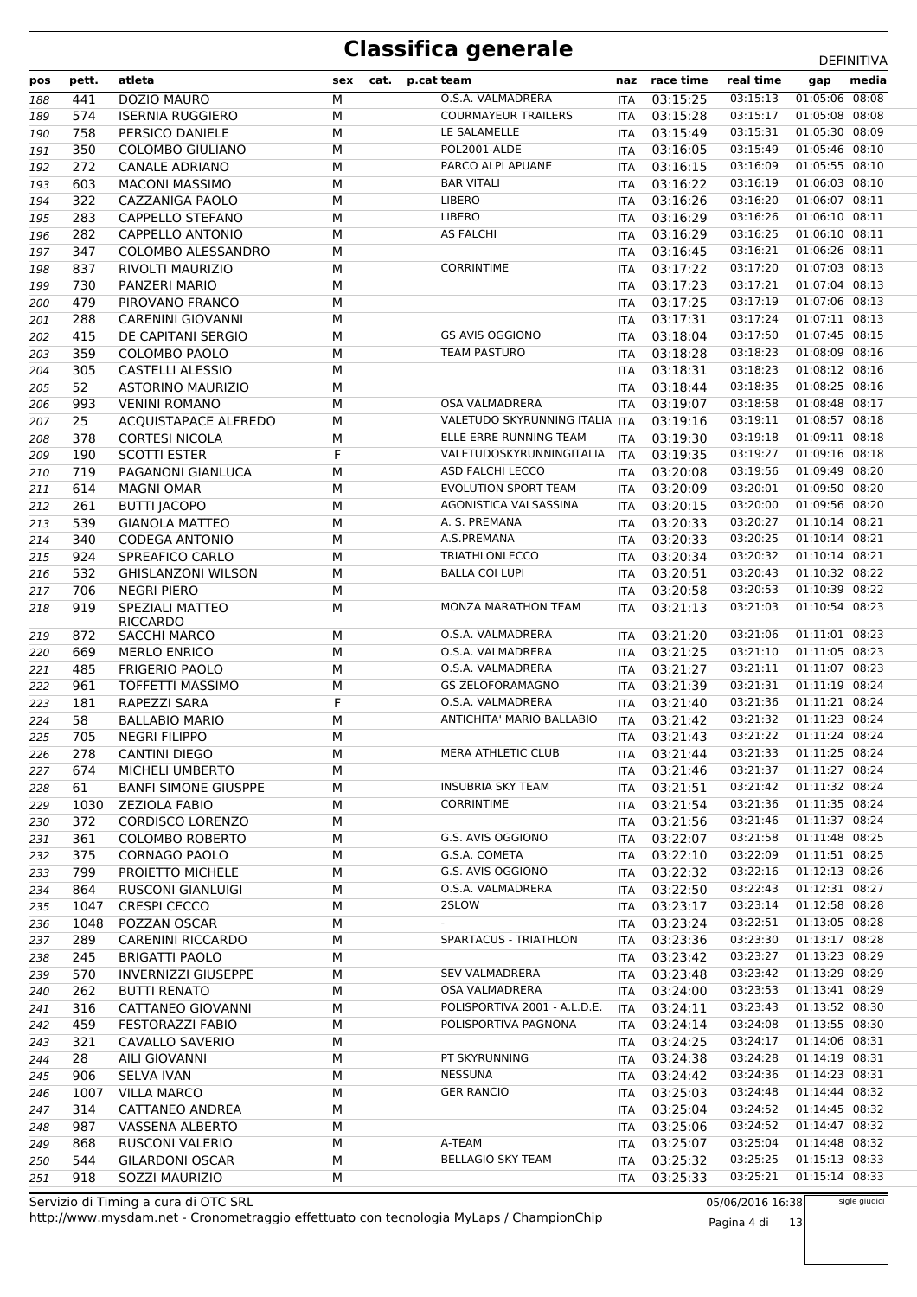| pos | pett. | atleta                             | sex | cat. | p.cat team                     | naz        | race time    | real time | gap              | media |
|-----|-------|------------------------------------|-----|------|--------------------------------|------------|--------------|-----------|------------------|-------|
| 188 | 441   | DOZIO MAURO                        | M   |      | O.S.A. VALMADRERA              | <b>ITA</b> | 03:15:25     | 03:15:13  | $01:05:06$ 08:08 |       |
| 189 | 574   | <b>ISERNIA RUGGIERO</b>            | M   |      | <b>COURMAYEUR TRAILERS</b>     | ITA        | 03:15:28     | 03:15:17  | 01:05:08 08:08   |       |
| 190 | 758   | PERSICO DANIELE                    | M   |      | LE SALAMELLE                   | <b>ITA</b> | 03:15:49     | 03:15:31  | 01:05:30 08:09   |       |
| 191 | 350   | <b>COLOMBO GIULIANO</b>            | M   |      | POL2001-ALDE                   | ITA        | 03:16:05     | 03:15:49  | 01:05:46 08:10   |       |
| 192 | 272   | <b>CANALE ADRIANO</b>              | M   |      | PARCO ALPI APUANE              | <b>ITA</b> | 03:16:15     | 03:16:09  | 01:05:55 08:10   |       |
| 193 | 603   | <b>MACONI MASSIMO</b>              | M   |      | <b>BAR VITALI</b>              | <b>ITA</b> | 03:16:22     | 03:16:19  | 01:06:03 08:10   |       |
| 194 | 322   | CAZZANIGA PAOLO                    | M   |      | <b>LIBERO</b>                  | <b>ITA</b> | 03:16:26     | 03:16:20  | 01:06:07 08:11   |       |
| 195 | 283   | CAPPELLO STEFANO                   | М   |      | <b>LIBERO</b>                  | ITA        | 03:16:29     | 03:16:26  | 01:06:10 08:11   |       |
| 196 | 282   | <b>CAPPELLO ANTONIO</b>            | M   |      | <b>AS FALCHI</b>               | ITA        | 03:16:29     | 03:16:25  | 01:06:10 08:11   |       |
| 197 | 347   | COLOMBO ALESSANDRO                 | M   |      |                                | ITA        | 03:16:45     | 03:16:21  | 01:06:26 08:11   |       |
| 198 | 837   | RIVOLTI MAURIZIO                   | M   |      | <b>CORRINTIME</b>              | <b>ITA</b> | 03:17:22     | 03:17:20  | 01:07:03 08:13   |       |
| 199 | 730   | PANZERI MARIO                      | M   |      |                                | ITA        | 03:17:23     | 03:17:21  | 01:07:04 08:13   |       |
| 200 | 479   | PIROVANO FRANCO                    | M   |      |                                | <b>ITA</b> | 03:17:25     | 03:17:19  | 01:07:06 08:13   |       |
| 201 | 288   | <b>CARENINI GIOVANNI</b>           | М   |      |                                | ITA        | 03:17:31     | 03:17:24  | 01:07:11 08:13   |       |
| 202 | 415   | DE CAPITANI SERGIO                 | M   |      | <b>GS AVIS OGGIONO</b>         | <b>ITA</b> | 03:18:04     | 03:17:50  | 01:07:45 08:15   |       |
| 203 | 359   | COLOMBO PAOLO                      | M   |      | <b>TEAM PASTURO</b>            | ITA        | 03:18:28     | 03:18:23  | 01:08:09 08:16   |       |
| 204 | 305   | CASTELLI ALESSIO                   | M   |      |                                | <b>ITA</b> | 03:18:31     | 03:18:23  | 01:08:12 08:16   |       |
| 205 | 52    | <b>ASTORINO MAURIZIO</b>           | M   |      |                                | <b>ITA</b> | 03:18:44     | 03:18:35  | 01:08:25 08:16   |       |
| 206 | 993   | <b>VENINI ROMANO</b>               | M   |      | <b>OSA VALMADRERA</b>          | ITA        | 03:19:07     | 03:18:58  | 01:08:48 08:17   |       |
| 207 | 25    | ACQUISTAPACE ALFREDO               | M   |      | VALETUDO SKYRUNNING ITALIA ITA |            | 03:19:16     | 03:19:11  | 01:08:57 08:18   |       |
| 208 | 378   | <b>CORTESI NICOLA</b>              | M   |      | ELLE ERRE RUNNING TEAM         | ITA        | 03:19:30     | 03:19:18  | 01:09:11 08:18   |       |
| 209 | 190   | <b>SCOTTI ESTER</b>                | F   |      | VALETUDOSKYRUNNINGITALIA       | ITA        | 03:19:35     | 03:19:27  | 01:09:16 08:18   |       |
| 210 | 719   | PAGANONI GIANLUCA                  | M   |      | ASD FALCHI LECCO               | <b>ITA</b> | 03:20:08     | 03:19:56  | 01:09:49 08:20   |       |
| 211 | 614   | <b>MAGNI OMAR</b>                  | M   |      | <b>EVOLUTION SPORT TEAM</b>    | ITA        | 03:20:09     | 03:20:01  | 01:09:50 08:20   |       |
| 212 | 261   | <b>BUTTI JACOPO</b>                | M   |      | AGONISTICA VALSASSINA          | ITA        | 03:20:15     | 03:20:00  | 01:09:56 08:20   |       |
| 213 | 539   | <b>GIANOLA MATTEO</b>              | М   |      | A. S. PREMANA                  | <b>ITA</b> | 03:20:33     | 03:20:27  | 01:10:14 08:21   |       |
| 214 | 340   | <b>CODEGA ANTONIO</b>              | M   |      | A.S.PREMANA                    | <b>ITA</b> | 03:20:33     | 03:20:25  | 01:10:14 08:21   |       |
| 215 | 924   | SPREAFICO CARLO                    | M   |      | <b>TRIATHLONLECCO</b>          | ITA        | 03:20:34     | 03:20:32  | 01:10:14 08:21   |       |
| 216 | 532   | <b>GHISLANZONI WILSON</b>          | М   |      | <b>BALLA COI LUPI</b>          | <b>ITA</b> | 03:20:51     | 03:20:43  | 01:10:32 08:22   |       |
| 217 | 706   | <b>NEGRI PIERO</b>                 | M   |      |                                | <b>ITA</b> | 03:20:58     | 03:20:53  | 01:10:39 08:22   |       |
| 218 | 919   | SPEZIALI MATTEO<br><b>RICCARDO</b> | M   |      | MONZA MARATHON TEAM            | ITA        | 03:21:13     | 03:21:03  | 01:10:54 08:23   |       |
| 219 | 872   | <b>SACCHI MARCO</b>                | M   |      | O.S.A. VALMADRERA              | ITA        | 03:21:20     | 03:21:06  | 01:11:01 08:23   |       |
| 220 | 669   | <b>MERLO ENRICO</b>                | М   |      | O.S.A. VALMADRERA              | <b>ITA</b> | 03:21:25     | 03:21:10  | 01:11:05 08:23   |       |
| 221 | 485   | <b>FRIGERIO PAOLO</b>              | M   |      | O.S.A. VALMADRERA              | <b>ITA</b> | 03:21:27     | 03:21:11  | 01:11:07 08:23   |       |
| 222 | 961   | <b>TOFFETTI MASSIMO</b>            | M   |      | <b>GS ZELOFORAMAGNO</b>        | ITA        | 03:21:39     | 03:21:31  | 01:11:19 08:24   |       |
| 223 | 181   | RAPEZZI SARA                       | F   |      | O.S.A. VALMADRERA              | <b>ITA</b> | 03:21:40     | 03:21:36  | 01:11:21 08:24   |       |
| 224 | 58    | <b>BALLABIO MARIO</b>              | M   |      | ANTICHITA' MARIO BALLABIO      | <b>ITA</b> | 03:21:42     | 03:21:32  | 01:11:23 08:24   |       |
| 225 | 705   | <b>NEGRI FILIPPO</b>               | M   |      |                                | ITA        | 03:21:43     | 03:21:22  | 01:11:24 08:24   |       |
| 226 | 278   | <b>CANTINI DIEGO</b>               | М   |      | MERA ATHLETIC CLUB             | <b>ITA</b> | 03:21:44     | 03:21:33  | 01:11:25 08:24   |       |
| 227 | 674   | MICHELI UMBERTO                    | M   |      |                                |            | ITA 03:21:46 | 03:21:37  | 01:11:27 08:24   |       |
| 228 | 61    | <b>BANFI SIMONE GIUSPPE</b>        | М   |      | <b>INSUBRIA SKY TEAM</b>       |            | ITA 03:21:51 | 03:21:42  | 01:11:32 08:24   |       |
| 229 | 1030  | <b>ZEZIOLA FABIO</b>               | M   |      | <b>CORRINTIME</b>              |            | ITA 03:21:54 | 03:21:36  | 01:11:35 08:24   |       |
| 230 | 372   | <b>CORDISCO LORENZO</b>            | М   |      |                                |            | ITA 03:21:56 | 03:21:46  | 01:11:37 08:24   |       |
| 231 | 361   | <b>COLOMBO ROBERTO</b>             | М   |      | G.S. AVIS OGGIONO              |            | ITA 03:22:07 | 03:21:58  | 01:11:48 08:25   |       |
| 232 | 375   | CORNAGO PAOLO                      | М   |      | G.S.A. COMETA                  | ITA        | 03:22:10     | 03:22:09  | 01:11:51 08:25   |       |
| 233 | 799   | PROIETTO MICHELE                   | М   |      | G.S. AVIS OGGIONO              |            | ITA 03:22:32 | 03:22:16  | 01:12:13 08:26   |       |
| 234 | 864   | RUSCONI GIANLUIGI                  | М   |      | O.S.A. VALMADRERA              |            | ITA 03:22:50 | 03:22:43  | 01:12:31 08:27   |       |
| 235 | 1047  | <b>CRESPI CECCO</b>                | М   |      | 2SLOW                          |            | ITA 03:23:17 | 03:23:14  | 01:12:58 08:28   |       |
| 236 | 1048  | POZZAN OSCAR                       | М   |      | $\overline{\phantom{a}}$       |            | ITA 03:23:24 | 03:22:51  | 01:13:05 08:28   |       |
| 237 | 289   | <b>CARENINI RICCARDO</b>           | М   |      | SPARTACUS - TRIATHLON          |            | ITA 03:23:36 | 03:23:30  | 01:13:17 08:28   |       |
| 238 | 245   | <b>BRIGATTI PAOLO</b>              | М   |      |                                |            | ITA 03:23:42 | 03:23:27  | 01:13:23 08:29   |       |
| 239 | 570   | <b>INVERNIZZI GIUSEPPE</b>         | М   |      | <b>SEV VALMADRERA</b>          |            | ITA 03:23:48 | 03:23:42  | 01:13:29 08:29   |       |
| 240 | 262   | <b>BUTTI RENATO</b>                | М   |      | OSA VALMADRERA                 |            | ITA 03:24:00 | 03:23:53  | 01:13:41 08:29   |       |
| 241 | 316   | CATTANEO GIOVANNI                  | М   |      | POLISPORTIVA 2001 - A.L.D.E.   | ITA        | 03:24:11     | 03:23:43  | 01:13:52 08:30   |       |
| 242 | 459   | <b>FESTORAZZI FABIO</b>            | М   |      | POLISPORTIVA PAGNONA           |            | ITA 03:24:14 | 03:24:08  | 01:13:55 08:30   |       |
| 243 | 321   | CAVALLO SAVERIO                    | М   |      |                                |            | ITA 03:24:25 | 03:24:17  | 01:14:06 08:31   |       |
| 244 | 28    | AILI GIOVANNI                      | М   |      | PT SKYRUNNING                  |            | ITA 03:24:38 | 03:24:28  | 01:14:19 08:31   |       |
| 245 | 906   | <b>SELVA IVAN</b>                  | М   |      | NESSUNA                        |            | ITA 03:24:42 | 03:24:36  | 01:14:23 08:31   |       |
| 246 | 1007  | <b>VILLA MARCO</b>                 | M   |      | <b>GER RANCIO</b>              |            | ITA 03:25:03 | 03:24:48  | 01:14:44 08:32   |       |
| 247 | 314   | CATTANEO ANDREA                    | М   |      |                                |            | ITA 03:25:04 | 03:24:52  | 01:14:45 08:32   |       |
| 248 | 987   | VASSENA ALBERTO                    | М   |      |                                |            | ITA 03:25:06 | 03:24:52  | 01:14:47 08:32   |       |
| 249 | 868   | <b>RUSCONI VALERIO</b>             | М   |      | A-TEAM                         | ITA        | 03:25:07     | 03:25:04  | 01:14:48 08:32   |       |
| 250 | 544   | GILARDONI OSCAR                    | М   |      | <b>BELLAGIO SKY TEAM</b>       | ITA        | 03:25:32     | 03:25:25  | 01:15:13 08:33   |       |
| 251 | 918   | SOZZI MAURIZIO                     | М   |      |                                | ITA        | 03:25:33     | 03:25:21  | 01:15:14 08:33   |       |

http://www.mysdam.net - Cronometraggio effettuato con tecnologia MyLaps / ChampionChip Servizio di Timing a cura di OTC SRL

05/06/2016 16:38 Pagina 4 di 13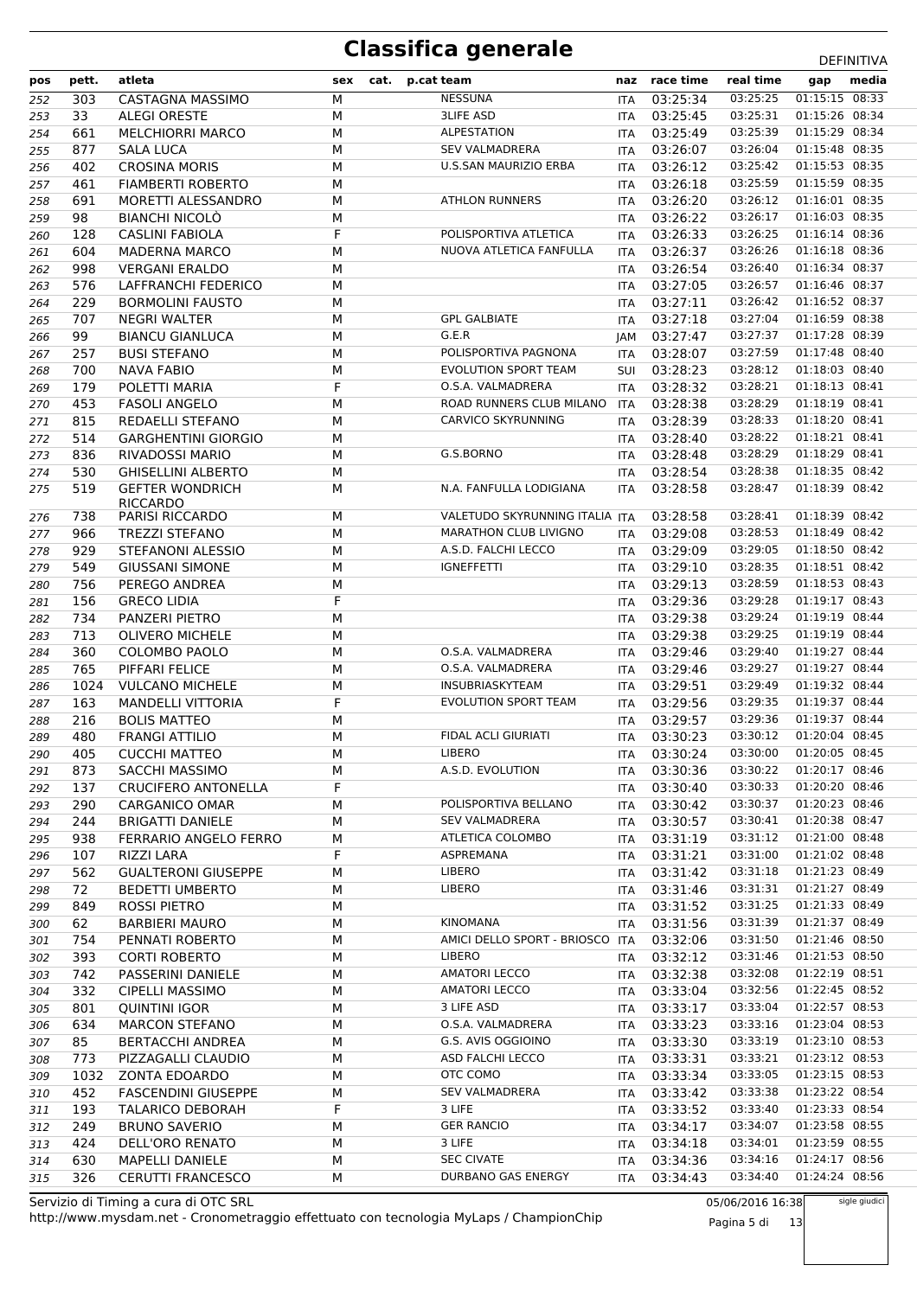| pos        | pett.     | atleta                                    | sex    | cat. | p.cat team                                   | naz        | race time                    | real time            | gap                              | media |
|------------|-----------|-------------------------------------------|--------|------|----------------------------------------------|------------|------------------------------|----------------------|----------------------------------|-------|
| 252        | 303       | CASTAGNA MASSIMO                          | M      |      | <b>NESSUNA</b>                               | <b>ITA</b> | 03:25:34                     | 03:25:25             | 01:15:15 08:33                   |       |
| 253        | 33        | <b>ALEGI ORESTE</b>                       | М      |      | <b>3LIFE ASD</b>                             | <b>ITA</b> | 03:25:45                     | 03:25:31             | 01:15:26 08:34                   |       |
| 254        | 661       | <b>MELCHIORRI MARCO</b>                   | M      |      | <b>ALPESTATION</b>                           | <b>ITA</b> | 03:25:49                     | 03:25:39             | 01:15:29 08:34                   |       |
| 255        | 877       | <b>SALA LUCA</b>                          | M      |      | <b>SEV VALMADRERA</b>                        | ITA        | 03:26:07                     | 03:26:04             | 01:15:48 08:35                   |       |
| 256        | 402       | <b>CROSINA MORIS</b>                      | M      |      | <b>U.S.SAN MAURIZIO ERBA</b>                 | <b>ITA</b> | 03:26:12                     | 03:25:42             | 01:15:53 08:35                   |       |
| 257        | 461       | <b>FIAMBERTI ROBERTO</b>                  | M      |      |                                              | <b>ITA</b> | 03:26:18                     | 03:25:59             | 01:15:59 08:35                   |       |
| 258        | 691       | MORETTI ALESSANDRO                        | M      |      | <b>ATHLON RUNNERS</b>                        | ITA        | 03:26:20                     | 03:26:12             | 01:16:01 08:35                   |       |
| 259        | 98        | <b>BIANCHI NICOLO</b>                     | М      |      |                                              | ITA        | 03:26:22                     | 03:26:17             | 01:16:03 08:35                   |       |
| 260        | 128       | CASLINI FABIOLA                           | F      |      | POLISPORTIVA ATLETICA                        | ITA        | 03:26:33                     | 03:26:25             | 01:16:14 08:36                   |       |
| 261        | 604       | <b>MADERNA MARCO</b>                      | M      |      | NUOVA ATLETICA FANFULLA                      | ITA        | 03:26:37                     | 03:26:26             | 01:16:18 08:36                   |       |
| 262        | 998       | <b>VERGANI ERALDO</b>                     | М      |      |                                              | ITA        | 03:26:54                     | 03:26:40             | 01:16:34 08:37                   |       |
| 263        | 576       | LAFFRANCHI FEDERICO                       | M      |      |                                              | <b>ITA</b> | 03:27:05                     | 03:26:57             | 01:16:46 08:37                   |       |
| 264        | 229       | <b>BORMOLINI FAUSTO</b>                   | М      |      |                                              | <b>ITA</b> | 03:27:11                     | 03:26:42             | 01:16:52 08:37                   |       |
| 265        | 707       | <b>NEGRI WALTER</b>                       | М      |      | <b>GPL GALBIATE</b>                          | ITA        | 03:27:18                     | 03:27:04             | 01:16:59 08:38                   |       |
| 266        | 99        | <b>BIANCU GIANLUCA</b>                    | M      |      | G.E.R                                        | JAM        | 03:27:47                     | 03:27:37             | 01:17:28 08:39                   |       |
| 267        | 257       | <b>BUSI STEFANO</b>                       | M      |      | POLISPORTIVA PAGNONA                         | ITA        | 03:28:07                     | 03:27:59             | 01:17:48 08:40                   |       |
| 268        | 700       | NAVA FABIO                                | M      |      | <b>EVOLUTION SPORT TEAM</b>                  | <b>SUI</b> | 03:28:23                     | 03:28:12             | 01:18:03 08:40                   |       |
| 269        | 179       | POLETTI MARIA                             | F      |      | O.S.A. VALMADRERA                            | <b>ITA</b> | 03:28:32                     | 03:28:21             | 01:18:13 08:41                   |       |
| 270        | 453       | <b>FASOLI ANGELO</b>                      | M      |      | ROAD RUNNERS CLUB MILANO                     | <b>ITA</b> | 03:28:38                     | 03:28:29             | 01:18:19 08:41                   |       |
| 271        | 815       | REDAELLI STEFANO                          | М      |      | <b>CARVICO SKYRUNNING</b>                    | <b>ITA</b> | 03:28:39                     | 03:28:33             | 01:18:20 08:41                   |       |
| 272        | 514       | <b>GARGHENTINI GIORGIO</b>                | M      |      |                                              | <b>ITA</b> | 03:28:40                     | 03:28:22             | 01:18:21 08:41                   |       |
| 273        | 836       | RIVADOSSI MARIO                           | М      |      | G.S.BORNO                                    | ITA        | 03:28:48                     | 03:28:29             | 01:18:29 08:41                   |       |
| 274        | 530       | <b>GHISELLINI ALBERTO</b>                 | М      |      |                                              | <b>ITA</b> | 03:28:54                     | 03:28:38             | 01:18:35 08:42                   |       |
| 275        | 519       | <b>GEFTER WONDRICH</b>                    | M      |      | N.A. FANFULLA LODIGIANA                      | <b>ITA</b> | 03:28:58                     | 03:28:47             | 01:18:39 08:42                   |       |
|            |           | <b>RICCARDO</b>                           |        |      |                                              |            |                              |                      |                                  |       |
| 276        | 738       | <b>PARISI RICCARDO</b>                    | M      |      | VALETUDO SKYRUNNING ITALIA ITA               |            | 03:28:58                     | 03:28:41             | 01:18:39 08:42                   |       |
| 277        | 966       | <b>TREZZI STEFANO</b>                     | M      |      | <b>MARATHON CLUB LIVIGNO</b>                 | <b>ITA</b> | 03:29:08                     | 03:28:53             | 01:18:49 08:42                   |       |
| 278        | 929       | STEFANONI ALESSIO                         | М      |      | A.S.D. FALCHI LECCO                          | <b>ITA</b> | 03:29:09                     | 03:29:05             | 01:18:50 08:42                   |       |
| 279        | 549       | <b>GIUSSANI SIMONE</b>                    | M      |      | <b>IGNEFFETTI</b>                            | <b>ITA</b> | 03:29:10                     | 03:28:35             | 01:18:51 08:42                   |       |
| 280        | 756       | PEREGO ANDREA                             | M      |      |                                              | ITA        | 03:29:13                     | 03:28:59             | 01:18:53 08:43                   |       |
| 281        | 156       | <b>GRECO LIDIA</b>                        | F      |      |                                              | <b>ITA</b> | 03:29:36                     | 03:29:28             | 01:19:17 08:43                   |       |
| 282        | 734       | PANZERI PIETRO                            | M      |      |                                              | <b>ITA</b> | 03:29:38                     | 03:29:24             | 01:19:19 08:44                   |       |
| 283        | 713       | <b>OLIVERO MICHELE</b>                    | М      |      |                                              | <b>ITA</b> | 03:29:38                     | 03:29:25             | 01:19:19 08:44                   |       |
| 284        | 360       | COLOMBO PAOLO                             | М      |      | O.S.A. VALMADRERA                            | <b>ITA</b> | 03:29:46                     | 03:29:40             | 01:19:27 08:44                   |       |
| 285        | 765       | PIFFARI FELICE                            | M      |      | O.S.A. VALMADRERA                            | ITA        | 03:29:46                     | 03:29:27             | 01:19:27 08:44                   |       |
| 286        | 1024      | <b>VULCANO MICHELE</b>                    | M      |      | INSUBRIASKYTEAM                              | ITA        | 03:29:51                     | 03:29:49             | 01:19:32 08:44                   |       |
| 287        | 163       | <b>MANDELLI VITTORIA</b>                  | F      |      | <b>EVOLUTION SPORT TEAM</b>                  | <b>ITA</b> | 03:29:56                     | 03:29:35             | 01:19:37 08:44                   |       |
| 288        | 216       | <b>BOLIS MATTEO</b>                       | M      |      |                                              | <b>ITA</b> | 03:29:57                     | 03:29:36             | 01:19:37 08:44                   |       |
| 289        | 480       | <b>FRANGI ATTILIO</b>                     | M      |      | <b>FIDAL ACLI GIURIATI</b>                   | ITA        | 03:30:23                     | 03:30:12             | 01:20:04 08:45                   |       |
| 290        | 405       | <b>CUCCHI MATTEO</b>                      | М      |      | <b>LIBERO</b>                                | <b>ITA</b> | 03:30:24                     | 03:30:00             | 01:20:05 08:45                   |       |
| 291        | 873       | SACCHI MASSIMO                            | М      |      | A.S.D. EVOLUTION                             |            | ITA 03:30:36                 | 03:30:22             | 01:20:17 08:46                   |       |
| 292        | 137       | <b>CRUCIFERO ANTONELLA</b>                | F      |      |                                              |            | ITA 03:30:40                 | 03:30:33             | 01:20:20 08:46                   |       |
| 293        | 290       | CARGANICO OMAR                            | М      |      | POLISPORTIVA BELLANO                         |            | ITA 03:30:42                 | 03:30:37             | 01:20:23 08:46                   |       |
| 294        | 244       | <b>BRIGATTI DANIELE</b>                   | М      |      | <b>SEV VALMADRERA</b>                        |            | ITA 03:30:57                 | 03:30:41             | 01:20:38 08:47                   |       |
| 295        | 938       | FERRARIO ANGELO FERRO                     | М      |      | ATLETICA COLOMBO                             |            | ITA 03:31:19                 | 03:31:12             | 01:21:00 08:48                   |       |
| 296        | 107       | RIZZI LARA                                | F      |      | ASPREMANA                                    |            | ITA 03:31:21                 | 03:31:00             | 01:21:02 08:48                   |       |
| 297        | 562       | <b>GUALTERONI GIUSEPPE</b>                | М      |      | <b>LIBERO</b>                                |            | ITA 03:31:42                 | 03:31:18             | 01:21:23 08:49                   |       |
| 298        | 72        | <b>BEDETTI UMBERTO</b>                    | М      |      | <b>LIBERO</b>                                |            | ITA 03:31:46                 | 03:31:31             | 01:21:27 08:49                   |       |
| 299        | 849       | ROSSI PIETRO                              | М      |      | KINOMANA                                     |            | ITA 03:31:52                 | 03:31:25<br>03:31:39 | 01:21:33 08:49<br>01:21:37 08:49 |       |
| 300        | 62        | <b>BARBIERI MAURO</b>                     | М      |      | AMICI DELLO SPORT - BRIOSCO ITA              |            | ITA 03:31:56                 | 03:31:50             | 01:21:46 08:50                   |       |
| 301        | 754       | PENNATI ROBERTO                           | М      |      | <b>LIBERO</b>                                |            | 03:32:06                     | 03:31:46             | 01:21:53 08:50                   |       |
| 302        | 393       | <b>CORTI ROBERTO</b>                      | М      |      |                                              |            | ITA 03:32:12                 |                      | 01:22:19 08:51                   |       |
| 303        | 742       | PASSERINI DANIELE                         | М      |      | <b>AMATORI LECCO</b><br><b>AMATORI LECCO</b> |            | ITA 03:32:38                 | 03:32:08<br>03:32:56 | 01:22:45 08:52                   |       |
| 304        | 332       | <b>CIPELLI MASSIMO</b>                    | М      |      | 3 LIFE ASD                                   |            | ITA 03:33:04                 | 03:33:04             | 01:22:57 08:53                   |       |
| 305        | 801       | <b>QUINTINI IGOR</b>                      | М      |      | O.S.A. VALMADRERA                            |            | ITA 03:33:17                 | 03:33:16             | 01:23:04 08:53                   |       |
| 306        | 634<br>85 | <b>MARCON STEFANO</b><br>BERTACCHI ANDREA | М<br>М |      | G.S. AVIS OGGIOINO                           |            | ITA 03:33:23<br>ITA 03:33:30 | 03:33:19             | 01:23:10 08:53                   |       |
| 307<br>308 | 773       | PIZZAGALLI CLAUDIO                        | М      |      | ASD FALCHI LECCO                             |            | ITA 03:33:31                 | 03:33:21             | 01:23:12 08:53                   |       |
| 309        | 1032      | <b>ZONTA EDOARDO</b>                      | М      |      | OTC COMO                                     |            | ITA 03:33:34                 | 03:33:05             | 01:23:15 08:53                   |       |
| 310        | 452       | <b>FASCENDINI GIUSEPPE</b>                | М      |      | <b>SEV VALMADRERA</b>                        |            | ITA 03:33:42                 | 03:33:38             | 01:23:22 08:54                   |       |
| 311        | 193       | <b>TALARICO DEBORAH</b>                   | F      |      | 3 LIFE                                       |            | ITA 03:33:52                 | 03:33:40             | 01:23:33 08:54                   |       |
| 312        | 249       | <b>BRUNO SAVERIO</b>                      | М      |      | <b>GER RANCIO</b>                            |            | ITA 03:34:17                 | 03:34:07             | 01:23:58 08:55                   |       |
| 313        | 424       | DELL'ORO RENATO                           | М      |      | 3 LIFE                                       |            | ITA 03:34:18                 | 03:34:01             | 01:23:59 08:55                   |       |
| 314        | 630       | MAPELLI DANIELE                           | М      |      | <b>SEC CIVATE</b>                            |            | ITA 03:34:36                 | 03:34:16             | 01:24:17 08:56                   |       |
| 315        | 326       | CERUTTI FRANCESCO                         | М      |      | DURBANO GAS ENERGY                           | ITA        | 03:34:43                     | 03:34:40             | 01:24:24 08:56                   |       |
|            |           |                                           |        |      |                                              |            |                              |                      |                                  |       |

http://www.mysdam.net - Cronometraggio effettuato con tecnologia MyLaps / ChampionChip Servizio di Timing a cura di OTC SRL

05/06/2016 16:38 Pagina 5 di 13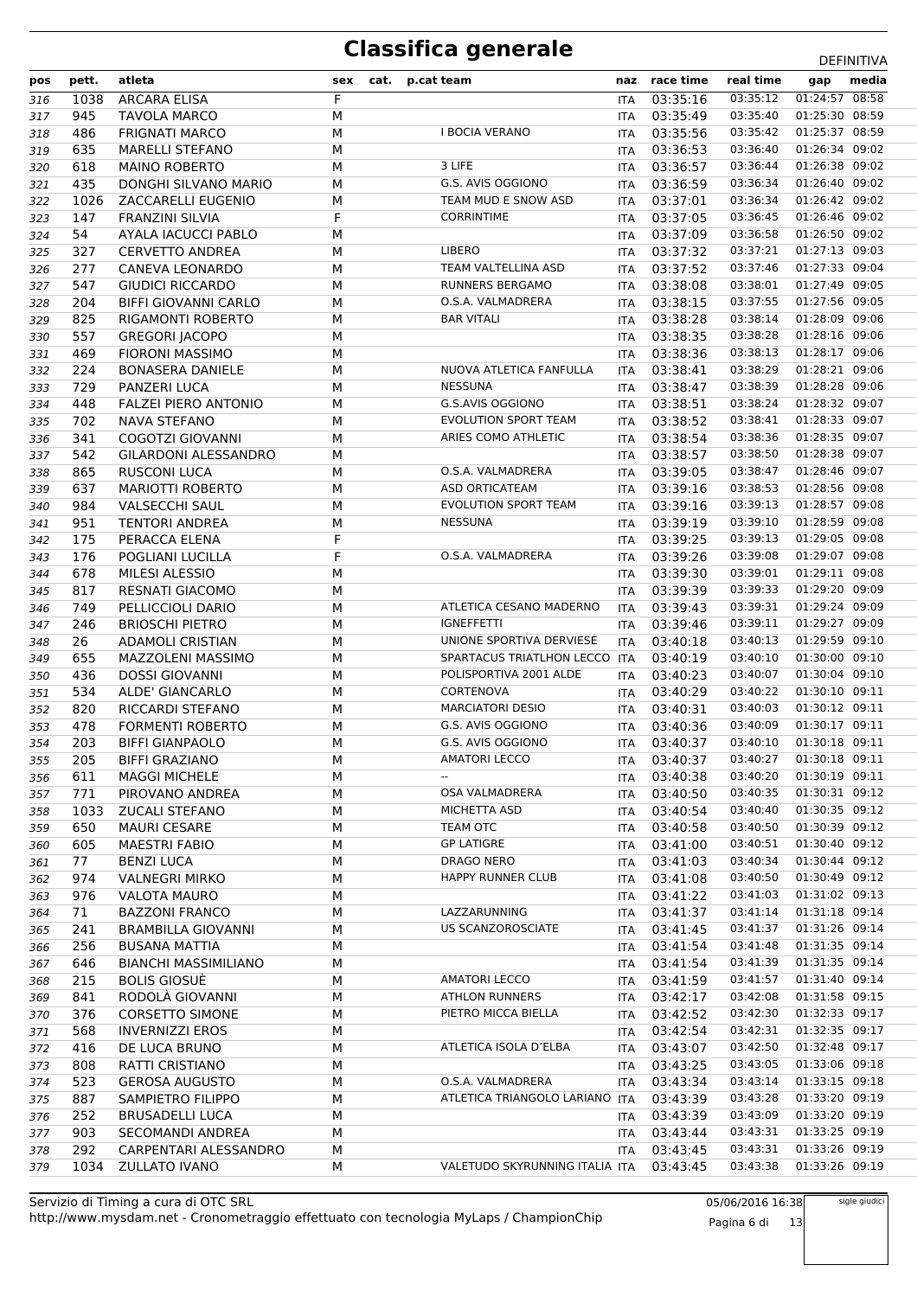| pos        | pett.      | atleta                             | sex    | cat. | p.cat team                     | naz                      | race time            | real time            | gap                              | media |
|------------|------------|------------------------------------|--------|------|--------------------------------|--------------------------|----------------------|----------------------|----------------------------------|-------|
| 316        | 1038       | <b>ARCARA ELISA</b>                | F      |      |                                | <b>ITA</b>               | 03:35:16             | 03:35:12             | 01:24:57 08:58                   |       |
| 317        | 945        | TAVOLA MARCO                       | M      |      |                                | ITA                      | 03:35:49             | 03:35:40             | 01:25:30 08:59                   |       |
| 318        | 486        | <b>FRIGNATI MARCO</b>              | M      |      | <b>I BOCIA VERANO</b>          | <b>ITA</b>               | 03:35:56             | 03:35:42             | 01:25:37 08:59                   |       |
| 319        | 635        | <b>MARELLI STEFANO</b>             | M      |      |                                | ITA                      | 03:36:53             | 03:36:40             | 01:26:34 09:02                   |       |
| 320        | 618        | <b>MAINO ROBERTO</b>               | M      |      | 3 LIFE                         | <b>ITA</b>               | 03:36:57             | 03:36:44             | 01:26:38 09:02                   |       |
| 321        | 435        | DONGHI SILVANO MARIO               | M      |      | G.S. AVIS OGGIONO              | <b>ITA</b>               | 03:36:59             | 03:36:34             | 01:26:40 09:02                   |       |
| 322        | 1026       | ZACCARELLI EUGENIO                 | M      |      | TEAM MUD E SNOW ASD            | ITA                      | 03:37:01             | 03:36:34             | 01:26:42 09:02                   |       |
| 323        | 147        | <b>FRANZINI SILVIA</b>             | F      |      | <b>CORRINTIME</b>              | ITA                      | 03:37:05             | 03:36:45             | 01:26:46 09:02                   |       |
| 324        | 54         | AYALA IACUCCI PABLO                | M      |      |                                | ITA                      | 03:37:09             | 03:36:58             | 01:26:50 09:02                   |       |
| 325        | 327        | <b>CERVETTO ANDREA</b>             | M      |      | <b>LIBERO</b>                  | ITA                      | 03:37:32             | 03:37:21             | 01:27:13 09:03                   |       |
| 326        | 277        | CANEVA LEONARDO                    | M      |      | TEAM VALTELLINA ASD            | <b>ITA</b>               | 03:37:52             | 03:37:46             | 01:27:33 09:04                   |       |
| 327        | 547        | <b>GIUDICI RICCARDO</b>            | M      |      | <b>RUNNERS BERGAMO</b>         | <b>ITA</b>               | 03:38:08             | 03:38:01             | 01:27:49 09:05                   |       |
| 328        | 204        | <b>BIFFI GIOVANNI CARLO</b>        | M      |      | O.S.A. VALMADRERA              | ITA                      | 03:38:15             | 03:37:55             | 01:27:56 09:05                   |       |
| 329        | 825        | RIGAMONTI ROBERTO                  | М      |      | <b>BAR VITALI</b>              | ITA                      | 03:38:28             | 03:38:14             | 01:28:09 09:06                   |       |
| 330        | 557        | <b>GREGORI JACOPO</b>              | M      |      |                                | <b>ITA</b>               | 03:38:35             | 03:38:28             | 01:28:16 09:06                   |       |
| 331        | 469        | <b>FIORONI MASSIMO</b>             | M      |      |                                | ITA                      | 03:38:36             | 03:38:13             | 01:28:17 09:06                   |       |
| 332        | 224        | <b>BONASERA DANIELE</b>            | М      |      | NUOVA ATLETICA FANFULLA        | <b>ITA</b>               | 03:38:41             | 03:38:29             | 01:28:21 09:06                   |       |
| 333        | 729        | <b>PANZERI LUCA</b>                | M      |      | <b>NESSUNA</b>                 | <b>ITA</b>               | 03:38:47             | 03:38:39             | 01:28:28 09:06                   |       |
| 334        | 448        | <b>FALZEI PIERO ANTONIO</b>        | M      |      | G.S.AVIS OGGIONO               | <b>ITA</b>               | 03:38:51             | 03:38:24             | 01:28:32 09:07                   |       |
| 335        | 702        | <b>NAVA STEFANO</b>                | М      |      | EVOLUTION SPORT TEAM           | <b>ITA</b>               | 03:38:52             | 03:38:41             | 01:28:33 09:07                   |       |
| 336        | 341        | <b>COGOTZI GIOVANNI</b>            | M      |      | ARIES COMO ATHLETIC            | ITA                      | 03:38:54             | 03:38:36             | 01:28:35 09:07                   |       |
| 337        | 542        | <b>GILARDONI ALESSANDRO</b>        | M      |      |                                | ITA                      | 03:38:57             | 03:38:50             | 01:28:38 09:07                   |       |
| 338        | 865        | <b>RUSCONI LUCA</b>                | М      |      | O.S.A. VALMADRERA              | <b>ITA</b>               | 03:39:05             | 03:38:47             | 01:28:46 09:07                   |       |
| 339        | 637        | <b>MARIOTTI ROBERTO</b>            | M      |      | ASD ORTICATEAM                 | ITA                      | 03:39:16             | 03:38:53             | 01:28:56 09:08                   |       |
| 340        | 984        | <b>VALSECCHI SAUL</b>              | M      |      | <b>EVOLUTION SPORT TEAM</b>    | ITA                      | 03:39:16             | 03:39:13             | 01:28:57 09:08                   |       |
| 341        | 951        | <b>TENTORI ANDREA</b>              | М      |      | <b>NESSUNA</b>                 | <b>ITA</b>               | 03:39:19             | 03:39:10             | 01:28:59 09:08<br>01:29:05 09:08 |       |
| 342        | 175        | PERACCA ELENA                      | F<br>F |      | O.S.A. VALMADRERA              | <b>ITA</b>               | 03:39:25             | 03:39:13             | 01:29:07 09:08                   |       |
| 343        | 176<br>678 | POGLIANI LUCILLA<br>MILESI ALESSIO | M      |      |                                | ITA                      | 03:39:26<br>03:39:30 | 03:39:08<br>03:39:01 | 01:29:11 09:08                   |       |
| 344        | 817        | <b>RESNATI GIACOMO</b>             | M      |      |                                | <b>ITA</b>               | 03:39:39             | 03:39:33             | 01:29:20 09:09                   |       |
| 345        | 749        | PELLICCIOLI DARIO                  | M      |      | ATLETICA CESANO MADERNO        | <b>ITA</b>               | 03:39:43             | 03:39:31             | 01:29:24 09:09                   |       |
| 346<br>347 | 246        | <b>BRIOSCHI PIETRO</b>             | М      |      | <b>IGNEFFETTI</b>              | <b>ITA</b><br><b>ITA</b> | 03:39:46             | 03:39:11             | 01:29:27 09:09                   |       |
| 348        | 26         | <b>ADAMOLI CRISTIAN</b>            | M      |      | UNIONE SPORTIVA DERVIESE       | <b>ITA</b>               | 03:40:18             | 03:40:13             | 01:29:59 09:10                   |       |
| 349        | 655        | MAZZOLENI MASSIMO                  | M      |      | SPARTACUS TRIATLHON LECCO      | <b>ITA</b>               | 03:40:19             | 03:40:10             | 01:30:00 09:10                   |       |
| 350        | 436        | <b>DOSSI GIOVANNI</b>              | М      |      | POLISPORTIVA 2001 ALDE         | <b>ITA</b>               | 03:40:23             | 03:40:07             | 01:30:04 09:10                   |       |
| 351        | 534        | ALDE' GIANCARLO                    | M      |      | CORTENOVA                      | <b>ITA</b>               | 03:40:29             | 03:40:22             | 01:30:10 09:11                   |       |
| 352        | 820        | <b>RICCARDI STEFANO</b>            | M      |      | <b>MARCIATORI DESIO</b>        | <b>ITA</b>               | 03:40:31             | 03:40:03             | 01:30:12 09:11                   |       |
| 353        | 478        | <b>FORMENTI ROBERTO</b>            | M      |      | G.S. AVIS OGGIONO              | <b>ITA</b>               | 03:40:36             | 03:40:09             | 01:30:17 09:11                   |       |
| 354        | 203        | <b>BIFFI GIANPAOLO</b>             | М      |      | G.S. AVIS OGGIONO              | <b>ITA</b>               | 03:40:37             | 03:40:10             | 01:30:18 09:11                   |       |
| 355        | 205        | <b>BIFFI GRAZIANO</b>              | М      |      | <b>AMATORI LECCO</b>           | ITA                      | 03:40:37             | 03:40:27             | 01:30:18 09:11                   |       |
| 356        | 611        | <b>MAGGI MICHELE</b>               | M      |      | $\overline{\phantom{a}}$       | ITA.                     | 03:40:38             | 03:40:20             | 01:30:19 09:11                   |       |
| 357        | 771        | PIROVANO ANDREA                    | М      |      | OSA VALMADRERA                 | <b>ITA</b>               | 03:40:50             | 03:40:35             | 01:30:31 09:12                   |       |
| 358        | 1033       | <b>ZUCALI STEFANO</b>              | М      |      | MICHETTA ASD                   | ITA                      | 03:40:54             | 03:40:40             | 01:30:35 09:12                   |       |
| 359        | 650        | <b>MAURI CESARE</b>                | М      |      | TEAM OTC                       | ITA                      | 03:40:58             | 03:40:50             | 01:30:39 09:12                   |       |
| 360        | 605        | <b>MAESTRI FABIO</b>               | М      |      | <b>GP LATIGRE</b>              | ITA                      | 03:41:00             | 03:40:51             | 01:30:40 09:12                   |       |
| 361        | 77         | <b>BENZI LUCA</b>                  | М      |      | DRAGO NERO                     | ITA                      | 03:41:03             | 03:40:34             | 01:30:44 09:12                   |       |
| 362        | 974        | <b>VALNEGRI MIRKO</b>              | М      |      | HAPPY RUNNER CLUB              | <b>ITA</b>               | 03:41:08             | 03:40:50             | 01:30:49 09:12                   |       |
| 363        | 976        | <b>VALOTA MAURO</b>                | М      |      |                                |                          | ITA 03:41:22         | 03:41:03             | 01:31:02 09:13                   |       |
| 364        | 71         | <b>BAZZONI FRANCO</b>              | М      |      | LAZZARUNNING                   | ITA                      | 03:41:37             | 03:41:14             | 01:31:18 09:14                   |       |
| 365        | 241        | <b>BRAMBILLA GIOVANNI</b>          | М      |      | <b>US SCANZOROSCIATE</b>       | ITA                      | 03:41:45             | 03:41:37             | 01:31:26 09:14                   |       |
| 366        | 256        | <b>BUSANA MATTIA</b>               | М      |      |                                | ITA                      | 03:41:54             | 03:41:48             | 01:31:35 09:14                   |       |
| 367        | 646        | <b>BIANCHI MASSIMILIANO</b>        | М      |      |                                | ITA                      | 03:41:54             | 03:41:39             | 01:31:35 09:14                   |       |
| 368        | 215        | <b>BOLIS GIOSUE</b>                | М      |      | <b>AMATORI LECCO</b>           | <b>ITA</b>               | 03:41:59             | 03:41:57             | 01:31:40 09:14                   |       |
| 369        | 841        | RODOLÀ GIOVANNI                    | М      |      | <b>ATHLON RUNNERS</b>          | ITA                      | 03:42:17             | 03:42:08             | 01:31:58 09:15                   |       |
| 370        | 376        | <b>CORSETTO SIMONE</b>             | М      |      | PIETRO MICCA BIELLA            | ITA                      | 03:42:52             | 03:42:30             | 01:32:33 09:17                   |       |
| 371        | 568        | <b>INVERNIZZI EROS</b>             | М      |      |                                | ITA                      | 03:42:54             | 03:42:31             | 01:32:35 09:17                   |       |
| 372        | 416        | DE LUCA BRUNO                      | М      |      | ATLETICA ISOLA D'ELBA          |                          | ITA 03:43:07         | 03:42:50             | 01:32:48 09:17                   |       |
| 373        | 808        | RATTI CRISTIANO                    | М      |      |                                | <b>ITA</b>               | 03:43:25             | 03:43:05             | 01:33:06 09:18                   |       |
| 374        | 523        | <b>GEROSA AUGUSTO</b>              | М      |      | O.S.A. VALMADRERA              | ITA                      | 03:43:34             | 03:43:14             | 01:33:15 09:18                   |       |
| 375        | 887        | <b>SAMPIETRO FILIPPO</b>           | М      |      | ATLETICA TRIANGOLO LARIANO ITA |                          | 03:43:39             | 03:43:28             | 01:33:20 09:19                   |       |
| 376        | 252        | <b>BRUSADELLI LUCA</b>             | М      |      |                                | ITA                      | 03:43:39             | 03:43:09             | 01:33:20 09:19                   |       |
| 377        | 903        | SECOMANDI ANDREA                   | М      |      |                                | <b>ITA</b>               | 03:43:44             | 03:43:31             | 01:33:25 09:19                   |       |
| 378        | 292        | CARPENTARI ALESSANDRO              | М      |      |                                | ITA                      | 03:43:45             | 03:43:31             | 01:33:26 09:19                   |       |
| 379        | 1034       | <b>ZULLATO IVANO</b>               | М      |      | VALETUDO SKYRUNNING ITALIA ITA |                          | 03:43:45             | 03:43:38             | 01:33:26 09:19                   |       |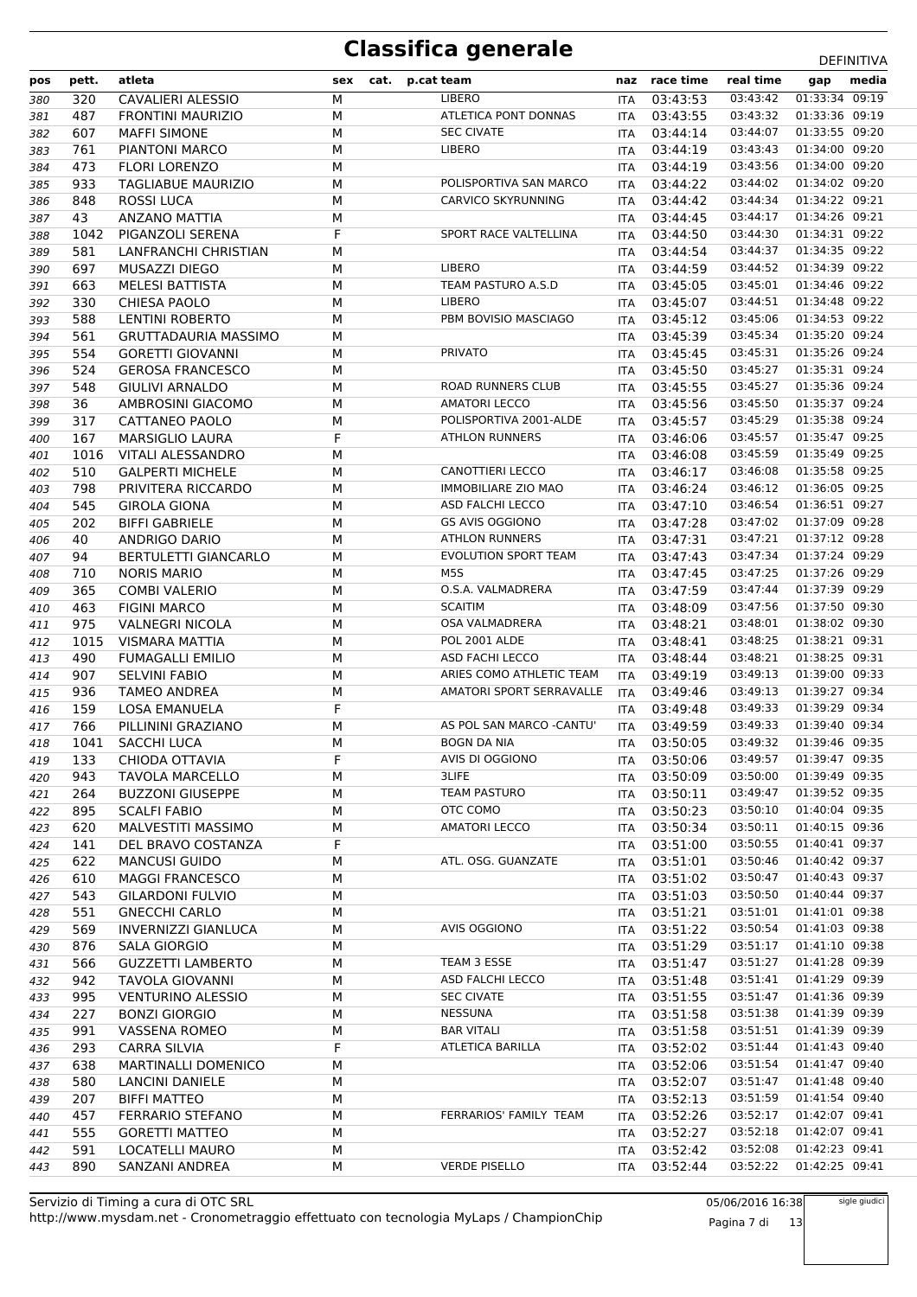| pos | pett. | atleta                      | sex | cat. | p.cat team |                                 | naz        | race time    | real time                 | gap            | media |
|-----|-------|-----------------------------|-----|------|------------|---------------------------------|------------|--------------|---------------------------|----------------|-------|
| 380 | 320   | CAVALIERI ALESSIO           | M   |      |            | <b>LIBERO</b>                   | ITA        | 03:43:53     | 03:43:42                  | 01:33:34 09:19 |       |
| 381 | 487   | <b>FRONTINI MAURIZIO</b>    | М   |      |            | ATLETICA PONT DONNAS            | ITA        | 03:43:55     | 03:43:32                  | 01:33:36 09:19 |       |
| 382 | 607   | <b>MAFFI SIMONE</b>         | M   |      |            | <b>SEC CIVATE</b>               | <b>ITA</b> | 03:44:14     | 03:44:07                  | 01:33:55 09:20 |       |
| 383 | 761   | PIANTONI MARCO              | M   |      |            | <b>LIBERO</b>                   | ITA        | 03:44:19     | 03:43:43                  | 01:34:00 09:20 |       |
| 384 | 473   | <b>FLORI LORENZO</b>        | М   |      |            |                                 | ITA        | 03:44:19     | 03:43:56                  | 01:34:00 09:20 |       |
| 385 | 933   | <b>TAGLIABUE MAURIZIO</b>   | M   |      |            | POLISPORTIVA SAN MARCO          | <b>ITA</b> | 03:44:22     | 03:44:02                  | 01:34:02 09:20 |       |
| 386 | 848   | <b>ROSSI LUCA</b>           | М   |      |            | <b>CARVICO SKYRUNNING</b>       | ITA        | 03:44:42     | 03:44:34                  | 01:34:22 09:21 |       |
| 387 | 43    | ANZANO MATTIA               | М   |      |            |                                 | ITA        | 03:44:45     | 03:44:17                  | 01:34:26 09:21 |       |
| 388 | 1042  | PIGANZOLI SERENA            | F   |      |            | SPORT RACE VALTELLINA           | ITA        | 03:44:50     | 03:44:30                  | 01:34:31 09:22 |       |
| 389 | 581   | LANFRANCHI CHRISTIAN        | M   |      |            |                                 | ITA        | 03:44:54     | 03:44:37                  | 01:34:35 09:22 |       |
| 390 | 697   | MUSAZZI DIEGO               | М   |      |            | <b>LIBERO</b>                   | <b>ITA</b> | 03:44:59     | 03:44:52                  | 01:34:39 09:22 |       |
| 391 | 663   | <b>MELESI BATTISTA</b>      | M   |      |            | TEAM PASTURO A.S.D              | <b>ITA</b> | 03:45:05     | 03:45:01                  | 01:34:46 09:22 |       |
| 392 | 330   | <b>CHIESA PAOLO</b>         | М   |      |            | <b>LIBERO</b>                   | ITA        | 03:45:07     | 03:44:51                  | 01:34:48 09:22 |       |
| 393 | 588   | LENTINI ROBERTO             | М   |      |            | PBM BOVISIO MASCIAGO            | ITA        | 03:45:12     | 03:45:06                  | 01:34:53 09:22 |       |
| 394 | 561   | <b>GRUTTADAURIA MASSIMO</b> | M   |      |            |                                 | <b>ITA</b> | 03:45:39     | 03:45:34                  | 01:35:20 09:24 |       |
| 395 | 554   | <b>GORETTI GIOVANNI</b>     | М   |      |            | <b>PRIVATO</b>                  | ITA        | 03:45:45     | 03:45:31                  | 01:35:26 09:24 |       |
| 396 | 524   | <b>GEROSA FRANCESCO</b>     | М   |      |            |                                 | <b>ITA</b> | 03:45:50     | 03:45:27                  | 01:35:31 09:24 |       |
| 397 | 548   | <b>GIULIVI ARNALDO</b>      | M   |      |            | <b>ROAD RUNNERS CLUB</b>        | <b>ITA</b> | 03:45:55     | 03:45:27                  | 01:35:36 09:24 |       |
| 398 | 36    | AMBROSINI GIACOMO           | М   |      |            | <b>AMATORI LECCO</b>            | <b>ITA</b> | 03:45:56     | 03:45:50                  | 01:35:37 09:24 |       |
| 399 | 317   | CATTANEO PAOLO              | М   |      |            | POLISPORTIVA 2001-ALDE          | <b>ITA</b> | 03:45:57     | 03:45:29                  | 01:35:38 09:24 |       |
| 400 | 167   | <b>MARSIGLIO LAURA</b>      | F   |      |            | <b>ATHLON RUNNERS</b>           | ITA        | 03:46:06     | 03:45:57                  | 01:35:47 09:25 |       |
| 401 | 1016  | VITALI ALESSANDRO           | M   |      |            |                                 | ITA.       | 03:46:08     | 03:45:59                  | 01:35:49 09:25 |       |
| 402 | 510   | <b>GALPERTI MICHELE</b>     | М   |      |            | <b>CANOTTIERI LECCO</b>         | <b>ITA</b> | 03:46:17     | 03:46:08                  | 01:35:58 09:25 |       |
| 403 | 798   | PRIVITERA RICCARDO          | M   |      |            | <b>IMMOBILIARE ZIO MAO</b>      | <b>ITA</b> | 03:46:24     | 03:46:12                  | 01:36:05 09:25 |       |
| 404 | 545   | <b>GIROLA GIONA</b>         | М   |      |            | ASD FALCHI LECCO                | ITA        | 03:47:10     | 03:46:54                  | 01:36:51 09:27 |       |
| 405 | 202   | <b>BIFFI GABRIELE</b>       | М   |      |            | <b>GS AVIS OGGIONO</b>          | <b>ITA</b> | 03:47:28     | 03:47:02                  | 01:37:09 09:28 |       |
| 406 | 40    | ANDRIGO DARIO               | M   |      |            | <b>ATHLON RUNNERS</b>           | <b>ITA</b> | 03:47:31     | 03:47:21                  | 01:37:12 09:28 |       |
| 407 | 94    | <b>BERTULETTI GIANCARLO</b> | М   |      |            | <b>EVOLUTION SPORT TEAM</b>     | ITA        | 03:47:43     | 03:47:34                  | 01:37:24 09:29 |       |
| 408 | 710   | <b>NORIS MARIO</b>          | М   |      |            | M <sub>5</sub> S                | <b>ITA</b> | 03:47:45     | 03:47:25                  | 01:37:26 09:29 |       |
| 409 | 365   | <b>COMBI VALERIO</b>        | М   |      |            | O.S.A. VALMADRERA               | ITA        | 03:47:59     | 03:47:44                  | 01:37:39 09:29 |       |
| 410 | 463   | <b>FIGINI MARCO</b>         | М   |      |            | <b>SCAITIM</b>                  | ITA        | 03:48:09     | 03:47:56                  | 01:37:50 09:30 |       |
| 411 | 975   | <b>VALNEGRI NICOLA</b>      | М   |      |            | OSA VALMADRERA                  | <b>ITA</b> | 03:48:21     | 03:48:01                  | 01:38:02 09:30 |       |
| 412 | 1015  | <b>VISMARA MATTIA</b>       | M   |      |            | POL 2001 ALDE                   | ITA        | 03:48:41     | 03:48:25                  | 01:38:21 09:31 |       |
| 413 | 490   | <b>FUMAGALLI EMILIO</b>     | М   |      |            | <b>ASD FACHI LECCO</b>          | ITA        | 03:48:44     | 03:48:21                  | 01:38:25 09:31 |       |
| 414 | 907   | <b>SELVINI FABIO</b>        | М   |      |            | ARIES COMO ATHLETIC TEAM        | <b>ITA</b> | 03:49:19     | 03:49:13                  | 01:39:00 09:33 |       |
| 415 | 936   | <b>TAMEO ANDREA</b>         | M   |      |            | <b>AMATORI SPORT SERRAVALLE</b> | <b>ITA</b> | 03:49:46     | 03:49:13                  | 01:39:27 09:34 |       |
| 416 | 159   | LOSA EMANUELA               | F   |      |            |                                 | ITA        | 03:49:48     | 03:49:33                  | 01:39:29 09:34 |       |
| 417 | 766   | PILLININI GRAZIANO          | M   |      |            | AS POL SAN MARCO -CANTU'        | <b>ITA</b> | 03:49:59     | 03:49:33                  | 01:39:40 09:34 |       |
| 418 | 1041  | SACCHI LUCA                 | М   |      |            | <b>BOGN DA NIA</b>              |            | ITA 03:50:05 | 03:49:32                  | 01:39:46 09:35 |       |
| 419 | 133   | CHIODA OTTAVIA              | F   |      |            | AVIS DI OGGIONO                 | ITA        | 03:50:06     | 03:49:57  01:39:47  09:35 |                |       |
| 420 | 943   | <b>TAVOLA MARCELLO</b>      | M   |      |            | 3LIFE                           | ITA.       | 03:50:09     | 03:50:00                  | 01:39:49 09:35 |       |
| 421 | 264   | <b>BUZZONI GIUSEPPE</b>     | М   |      |            | <b>TEAM PASTURO</b>             | ITA        | 03:50:11     | 03:49:47                  | 01:39:52 09:35 |       |
| 422 | 895   | <b>SCALFI FABIO</b>         | М   |      |            | OTC COMO                        | ITA        | 03:50:23     | 03:50:10                  | 01:40:04 09:35 |       |
| 423 | 620   | MALVESTITI MASSIMO          | М   |      |            | <b>AMATORI LECCO</b>            | ITA        | 03:50:34     | 03:50:11                  | 01:40:15 09:36 |       |
| 424 | 141   | DEL BRAVO COSTANZA          | F   |      |            |                                 |            | ITA 03:51:00 | 03:50:55                  | 01:40:41 09:37 |       |
| 425 | 622   | <b>MANCUSI GUIDO</b>        | M   |      |            | ATL. OSG. GUANZATE              |            | ITA 03:51:01 | 03:50:46                  | 01:40:42 09:37 |       |
| 426 | 610   | <b>MAGGI FRANCESCO</b>      | М   |      |            |                                 |            | ITA 03:51:02 | 03:50:47                  | 01:40:43 09:37 |       |
| 427 | 543   | GILARDONI FULVIO            | М   |      |            |                                 |            | ITA 03:51:03 | 03:50:50                  | 01:40:44 09:37 |       |
| 428 | 551   | <b>GNECCHI CARLO</b>        | М   |      |            |                                 |            | ITA 03:51:21 | 03:51:01                  | 01:41:01 09:38 |       |
| 429 | 569   | <b>INVERNIZZI GIANLUCA</b>  | М   |      |            | AVIS OGGIONO                    | ITA        | 03:51:22     | 03:50:54                  | 01:41:03 09:38 |       |
| 430 | 876   | <b>SALA GIORGIO</b>         | М   |      |            |                                 | ITA        | 03:51:29     | 03:51:17                  | 01:41:10 09:38 |       |
| 431 | 566   | <b>GUZZETTI LAMBERTO</b>    | M   |      |            | TEAM 3 ESSE                     |            | ITA 03:51:47 | 03:51:27                  | 01:41:28 09:39 |       |
| 432 | 942   | TAVOLA GIOVANNI             | М   |      |            | ASD FALCHI LECCO                | ITA        | 03:51:48     | 03:51:41                  | 01:41:29 09:39 |       |
| 433 | 995   | <b>VENTURINO ALESSIO</b>    | М   |      |            | <b>SEC CIVATE</b>               |            | ITA 03:51:55 | 03:51:47                  | 01:41:36 09:39 |       |
| 434 | 227   | <b>BONZI GIORGIO</b>        | М   |      |            | NESSUNA                         |            | ITA 03:51:58 | 03:51:38                  | 01:41:39 09:39 |       |
| 435 | 991   | VASSENA ROMEO               | М   |      |            | <b>BAR VITALI</b>               | ITA        | 03:51:58     | 03:51:51                  | 01:41:39 09:39 |       |
| 436 | 293   | CARRA SILVIA                | F   |      |            | ATLETICA BARILLA                |            | ITA 03:52:02 | 03:51:44                  | 01:41:43 09:40 |       |
| 437 | 638   | <b>MARTINALLI DOMENICO</b>  | M   |      |            |                                 |            | ITA 03:52:06 | 03:51:54                  | 01:41:47 09:40 |       |
| 438 | 580   | LANCINI DANIELE             | М   |      |            |                                 |            | ITA 03:52:07 | 03:51:47                  | 01:41:48 09:40 |       |
| 439 | 207   | <b>BIFFI MATTEO</b>         | М   |      |            |                                 |            | ITA 03:52:13 | 03:51:59                  | 01:41:54 09:40 |       |
| 440 | 457   | FERRARIO STEFANO            | М   |      |            | FERRARIOS' FAMILY TEAM          |            | ITA 03:52:26 | 03:52:17                  | 01:42:07 09:41 |       |
| 441 | 555   | <b>GORETTI MATTEO</b>       | М   |      |            |                                 | <b>ITA</b> | 03:52:27     | 03:52:18                  | 01:42:07 09:41 |       |
| 442 | 591   | LOCATELLI MAURO             | М   |      |            |                                 | ITA        | 03:52:42     | 03:52:08                  | 01:42:23 09:41 |       |
| 443 | 890   | SANZANI ANDREA              | М   |      |            | <b>VERDE PISELLO</b>            | ITA        | 03:52:44     | 03:52:22                  | 01:42:25 09:41 |       |
|     |       |                             |     |      |            |                                 |            |              |                           |                |       |

05/06/2016 16:38 Pagina 7 di 13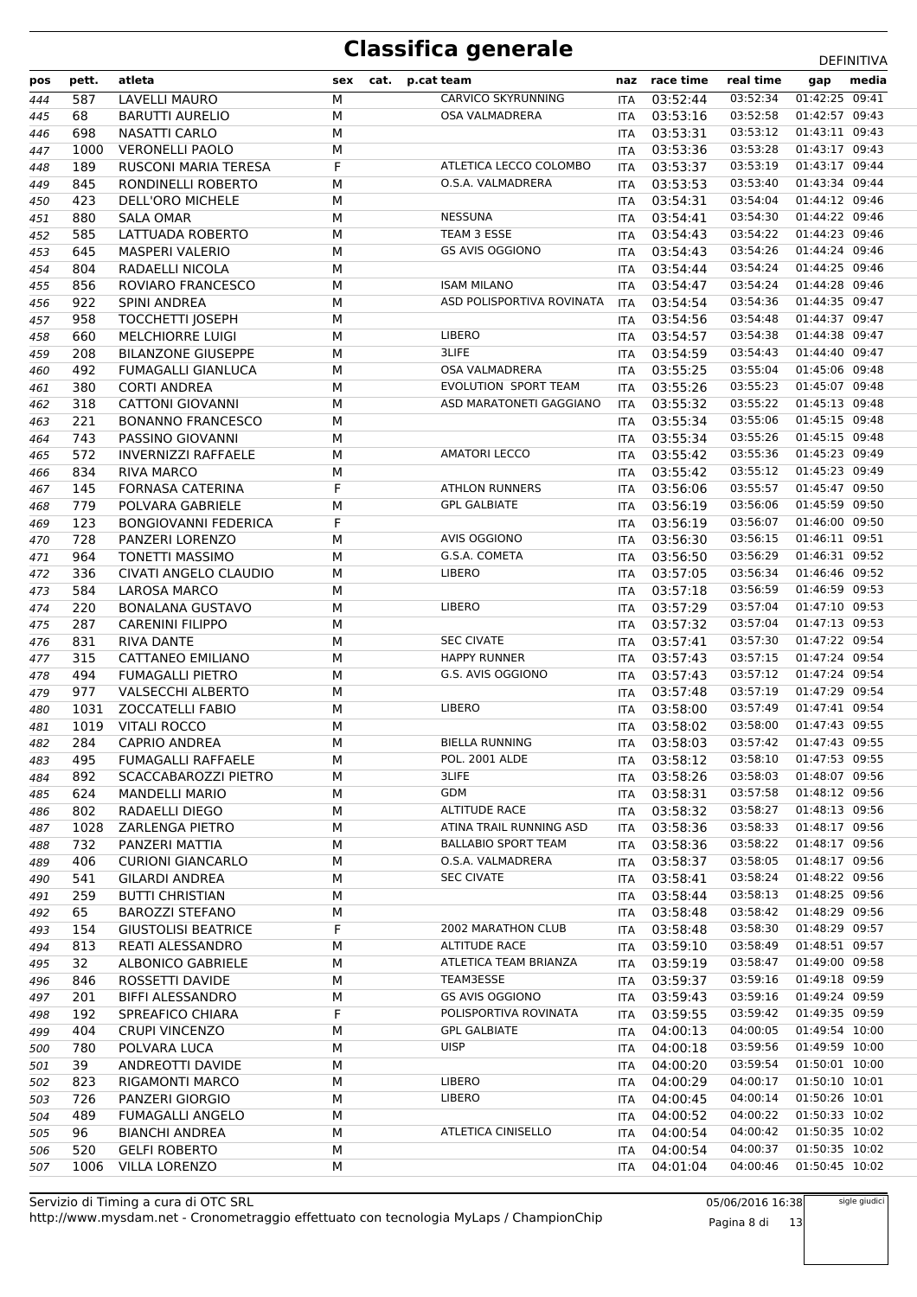| pos | pett. | atleta                      | sex | cat. | p.cat team                 | naz        | race time    | real time | gap            | media |
|-----|-------|-----------------------------|-----|------|----------------------------|------------|--------------|-----------|----------------|-------|
| 444 | 587   | <b>LAVELLI MAURO</b>        | M   |      | CARVICO SKYRUNNING         | <b>ITA</b> | 03:52:44     | 03:52:34  | 01:42:25 09:41 |       |
| 445 | 68    | <b>BARUTTI AURELIO</b>      | M   |      | <b>OSA VALMADRERA</b>      | ITA        | 03:53:16     | 03:52:58  | 01:42:57 09:43 |       |
| 446 | 698   | NASATTI CARLO               | M   |      |                            | <b>ITA</b> | 03:53:31     | 03:53:12  | 01:43:11 09:43 |       |
| 447 | 1000  | <b>VERONELLI PAOLO</b>      | M   |      |                            | <b>ITA</b> | 03:53:36     | 03:53:28  | 01:43:17 09:43 |       |
| 448 | 189   | RUSCONI MARIA TERESA        | F   |      | ATLETICA LECCO COLOMBO     | ITA        | 03:53:37     | 03:53:19  | 01:43:17 09:44 |       |
|     |       |                             |     |      | O.S.A. VALMADRERA          |            |              | 03:53:40  | 01:43:34 09:44 |       |
| 449 | 845   | RONDINELLI ROBERTO          | M   |      |                            | ITA        | 03:53:53     |           |                |       |
| 450 | 423   | DELL'ORO MICHELE            | M   |      |                            | <b>ITA</b> | 03:54:31     | 03:54:04  | 01:44:12 09:46 |       |
| 451 | 880   | <b>SALA OMAR</b>            | M   |      | <b>NESSUNA</b>             | ITA        | 03:54:41     | 03:54:30  | 01:44:22 09:46 |       |
| 452 | 585   | LATTUADA ROBERTO            | M   |      | TEAM 3 ESSE                | <b>ITA</b> | 03:54:43     | 03:54:22  | 01:44:23 09:46 |       |
| 453 | 645   | <b>MASPERI VALERIO</b>      | M   |      | <b>GS AVIS OGGIONO</b>     | <b>ITA</b> | 03:54:43     | 03:54:26  | 01:44:24 09:46 |       |
| 454 | 804   | RADAELLI NICOLA             | M   |      |                            | ITA        | 03:54:44     | 03:54:24  | 01:44:25 09:46 |       |
| 455 | 856   | ROVIARO FRANCESCO           | M   |      | <b>ISAM MILANO</b>         | <b>ITA</b> | 03:54:47     | 03:54:24  | 01:44:28 09:46 |       |
|     | 922   | <b>SPINI ANDREA</b>         | M   |      | ASD POLISPORTIVA ROVINATA  |            | 03:54:54     | 03:54:36  | 01:44:35 09:47 |       |
| 456 |       |                             |     |      |                            | <b>ITA</b> |              |           |                |       |
| 457 | 958   | <b>TOCCHETTI JOSEPH</b>     | M   |      |                            | ITA        | 03:54:56     | 03:54:48  | 01:44:37 09:47 |       |
| 458 | 660   | <b>MELCHIORRE LUIGI</b>     | M   |      | <b>LIBERO</b>              | ITA        | 03:54:57     | 03:54:38  | 01:44:38 09:47 |       |
| 459 | 208   | <b>BILANZONE GIUSEPPE</b>   | M   |      | 3LIFE                      | <b>ITA</b> | 03:54:59     | 03:54:43  | 01:44:40 09:47 |       |
| 460 | 492   | <b>FUMAGALLI GIANLUCA</b>   | M   |      | <b>OSA VALMADRERA</b>      | ITA        | 03:55:25     | 03:55:04  | 01:45:06 09:48 |       |
| 461 | 380   | <b>CORTI ANDREA</b>         | M   |      | EVOLUTION SPORT TEAM       | <b>ITA</b> | 03:55:26     | 03:55:23  | 01:45:07 09:48 |       |
| 462 | 318   | <b>CATTONI GIOVANNI</b>     | M   |      | ASD MARATONETI GAGGIANO    | <b>ITA</b> | 03:55:32     | 03:55:22  | 01:45:13 09:48 |       |
|     | 221   | <b>BONANNO FRANCESCO</b>    | M   |      |                            |            | 03:55:34     | 03:55:06  | 01:45:15 09:48 |       |
| 463 |       |                             |     |      |                            | ITA        |              |           | 01:45:15 09:48 |       |
| 464 | 743   | PASSINO GIOVANNI            | M   |      |                            | <b>ITA</b> | 03:55:34     | 03:55:26  |                |       |
| 465 | 572   | <b>INVERNIZZI RAFFAELE</b>  | M   |      | <b>AMATORI LECCO</b>       | ITA        | 03:55:42     | 03:55:36  | 01:45:23 09:49 |       |
| 466 | 834   | <b>RIVA MARCO</b>           | M   |      |                            | ITA        | 03:55:42     | 03:55:12  | 01:45:23 09:49 |       |
| 467 | 145   | <b>FORNASA CATERINA</b>     | F   |      | <b>ATHLON RUNNERS</b>      | ITA        | 03:56:06     | 03:55:57  | 01:45:47 09:50 |       |
| 468 | 779   | POLVARA GABRIELE            | M   |      | <b>GPL GALBIATE</b>        | <b>ITA</b> | 03:56:19     | 03:56:06  | 01:45:59 09:50 |       |
| 469 | 123   | <b>BONGIOVANNI FEDERICA</b> | F   |      |                            | ITA        | 03:56:19     | 03:56:07  | 01:46:00 09:50 |       |
| 470 | 728   | PANZERI LORENZO             | М   |      | <b>AVIS OGGIONO</b>        | ITA        | 03:56:30     | 03:56:15  | 01:46:11 09:51 |       |
|     | 964   | <b>TONETTI MASSIMO</b>      | M   |      | G.S.A. COMETA              |            | 03:56:50     | 03:56:29  | 01:46:31 09:52 |       |
| 471 |       |                             |     |      |                            | <b>ITA</b> |              |           |                |       |
| 472 | 336   | CIVATI ANGELO CLAUDIO       | M   |      | <b>LIBERO</b>              | ITA        | 03:57:05     | 03:56:34  | 01:46:46 09:52 |       |
| 473 | 584   | <b>LAROSA MARCO</b>         | M   |      |                            | <b>ITA</b> | 03:57:18     | 03:56:59  | 01:46:59 09:53 |       |
| 474 | 220   | <b>BONALANA GUSTAVO</b>     | M   |      | LIBERO                     | ITA        | 03:57:29     | 03:57:04  | 01:47:10 09:53 |       |
| 475 | 287   | <b>CARENINI FILIPPO</b>     | M   |      |                            | ITA        | 03:57:32     | 03:57:04  | 01:47:13 09:53 |       |
| 476 | 831   | <b>RIVA DANTE</b>           | M   |      | <b>SEC CIVATE</b>          | ITA        | 03:57:41     | 03:57:30  | 01:47:22 09:54 |       |
| 477 | 315   | CATTANEO EMILIANO           | M   |      | <b>HAPPY RUNNER</b>        | <b>ITA</b> | 03:57:43     | 03:57:15  | 01:47:24 09:54 |       |
|     | 494   | <b>FUMAGALLI PIETRO</b>     | M   |      | G.S. AVIS OGGIONO          |            | 03:57:43     | 03:57:12  | 01:47:24 09:54 |       |
| 478 |       |                             |     |      |                            | ITA        |              |           | 01:47:29 09:54 |       |
| 479 | 977   | <b>VALSECCHI ALBERTO</b>    | M   |      |                            | <b>ITA</b> | 03:57:48     | 03:57:19  |                |       |
| 480 | 1031  | <b>ZOCCATELLI FABIO</b>     | М   |      | LIBERO                     | <b>ITA</b> | 03:58:00     | 03:57:49  | 01:47:41 09:54 |       |
| 481 | 1019  | <b>VITALI ROCCO</b>         | M   |      |                            | ITA        | 03:58:02     | 03:58:00  | 01:47:43 09:55 |       |
| 482 | 284   | <b>CAPRIO ANDREA</b>        | М   |      | <b>BIELLA RUNNING</b>      | ITA        | 03:58:03     | 03:57:42  | 01:47:43 09:55 |       |
| 483 | 495   | <b>FUMAGALLI RAFFAELE</b>   | М   |      | <b>POL. 2001 ALDE</b>      | ITA        | 03:58:12     | 03:58:10  | 01:47:53 09:55 |       |
| 484 | 892   | SCACCABAROZZI PIETRO        | M   |      | 3LIFE                      | ITA.       | 03:58:26     | 03:58:03  | 01:48:07 09:56 |       |
| 485 | 624   | <b>MANDELLI MARIO</b>       | М   |      | <b>GDM</b>                 | ITA        | 03:58:31     | 03:57:58  | 01:48:12 09:56 |       |
|     | 802   | RADAELLI DIEGO              | М   |      | <b>ALTITUDE RACE</b>       |            | 03:58:32     | 03:58:27  | 01:48:13 09:56 |       |
| 486 |       |                             |     |      |                            | ITA        |              |           |                |       |
| 487 | 1028  | ZARLENGA PIETRO             | M   |      | ATINA TRAIL RUNNING ASD    | ITA        | 03:58:36     | 03:58:33  | 01:48:17 09:56 |       |
| 488 | 732   | PANZERI MATTIA              | М   |      | <b>BALLABIO SPORT TEAM</b> | ITA        | 03:58:36     | 03:58:22  | 01:48:17 09:56 |       |
| 489 | 406   | <b>CURIONI GIANCARLO</b>    | М   |      | O.S.A. VALMADRERA          | ITA        | 03:58:37     | 03:58:05  | 01:48:17 09:56 |       |
| 490 | 541   | <b>GILARDI ANDREA</b>       | M   |      | <b>SEC CIVATE</b>          | ITA        | 03:58:41     | 03:58:24  | 01:48:22 09:56 |       |
| 491 | 259   | <b>BUTTI CHRISTIAN</b>      | М   |      |                            |            | ITA 03:58:44 | 03:58:13  | 01:48:25 09:56 |       |
| 492 | 65    | <b>BAROZZI STEFANO</b>      | М   |      |                            |            | ITA 03:58:48 | 03:58:42  | 01:48:29 09:56 |       |
| 493 | 154   | <b>GIUSTOLISI BEATRICE</b>  | F   |      | 2002 MARATHON CLUB         | <b>ITA</b> | 03:58:48     | 03:58:30  | 01:48:29 09:57 |       |
| 494 | 813   | REATI ALESSANDRO            | М   |      | <b>ALTITUDE RACE</b>       | ITA        | 03:59:10     | 03:58:49  | 01:48:51 09:57 |       |
|     |       |                             |     |      |                            |            |              |           |                |       |
| 495 | 32    | <b>ALBONICO GABRIELE</b>    | М   |      | ATLETICA TEAM BRIANZA      | ITA        | 03:59:19     | 03:58:47  | 01:49:00 09:58 |       |
| 496 | 846   | ROSSETTI DAVIDE             | М   |      | TEAM3ESSE                  | ITA        | 03:59:37     | 03:59:16  | 01:49:18 09:59 |       |
| 497 | 201   | BIFFI ALESSANDRO            | М   |      | <b>GS AVIS OGGIONO</b>     | ITA        | 03:59:43     | 03:59:16  | 01:49:24 09:59 |       |
| 498 | 192   | SPREAFICO CHIARA            | F   |      | POLISPORTIVA ROVINATA      | ITA        | 03:59:55     | 03:59:42  | 01:49:35 09:59 |       |
| 499 | 404   | <b>CRUPI VINCENZO</b>       | М   |      | <b>GPL GALBIATE</b>        | ITA        | 04:00:13     | 04:00:05  | 01:49:54 10:00 |       |
| 500 | 780   | POLVARA LUCA                | М   |      | <b>UISP</b>                | ITA        | 04:00:18     | 03:59:56  | 01:49:59 10:00 |       |
| 501 | 39    | ANDREOTTI DAVIDE            | М   |      |                            | ITA        | 04:00:20     | 03:59:54  | 01:50:01 10:00 |       |
| 502 | 823   | RIGAMONTI MARCO             | М   |      | <b>LIBERO</b>              | <b>ITA</b> | 04:00:29     | 04:00:17  | 01:50:10 10:01 |       |
|     |       |                             |     |      | <b>LIBERO</b>              |            | ITA 04:00:45 | 04:00:14  | 01:50:26 10:01 |       |
| 503 | 726   | PANZERI GIORGIO             | М   |      |                            |            |              |           |                |       |
| 504 | 489   | <b>FUMAGALLI ANGELO</b>     | М   |      |                            | ITA        | 04:00:52     | 04:00:22  | 01:50:33 10:02 |       |
| 505 | 96    | <b>BIANCHI ANDREA</b>       | М   |      | ATLETICA CINISELLO         | <b>ITA</b> | 04:00:54     | 04:00:42  | 01:50:35 10:02 |       |
| 506 | 520   | <b>GELFI ROBERTO</b>        | М   |      |                            | ITA        | 04:00:54     | 04:00:37  | 01:50:35 10:02 |       |
| 507 | 1006  | <b>VILLA LORENZO</b>        | М   |      |                            | ITA        | 04:01:04     | 04:00:46  | 01:50:45 10:02 |       |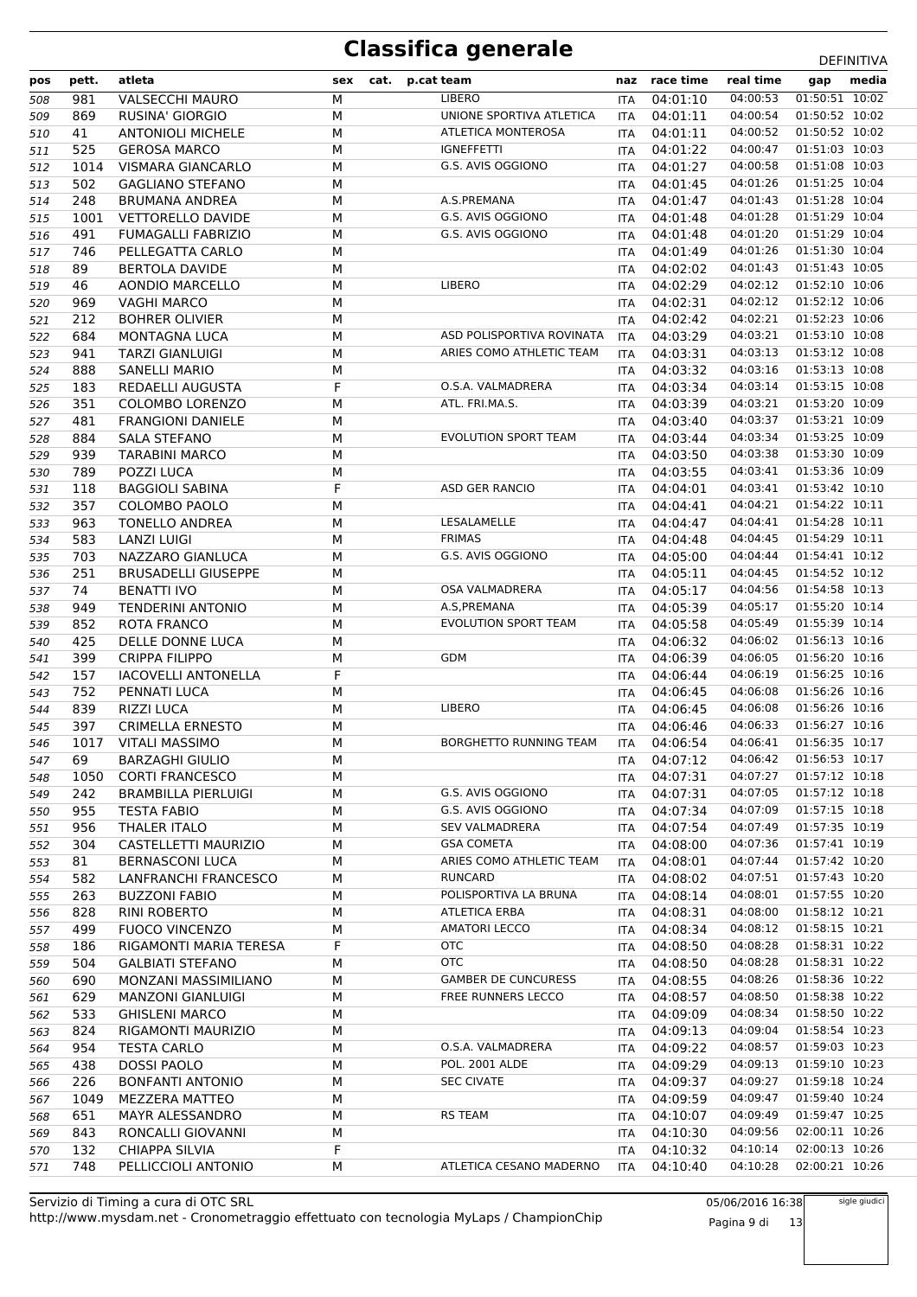| pos | pett. | atleta                     | sex | cat. | p.cat team                    | naz        | race time                                | real time | gap            | media |
|-----|-------|----------------------------|-----|------|-------------------------------|------------|------------------------------------------|-----------|----------------|-------|
| 508 | 981   | <b>VALSECCHI MAURO</b>     | М   |      | <b>LIBERO</b>                 | ITA        | 04:01:10                                 | 04:00:53  | 01:50:51 10:02 |       |
| 509 | 869   | RUSINA' GIORGIO            | М   |      | UNIONE SPORTIVA ATLETICA      | ITA        | 04:01:11                                 | 04:00:54  | 01:50:52 10:02 |       |
| 510 | 41    | <b>ANTONIOLI MICHELE</b>   | М   |      | <b>ATLETICA MONTEROSA</b>     | ITA        | 04:01:11                                 | 04:00:52  | 01:50:52 10:02 |       |
| 511 | 525   | <b>GEROSA MARCO</b>        | М   |      | <b>IGNEFFETTI</b>             | ITA        | 04:01:22                                 | 04:00:47  | 01:51:03 10:03 |       |
| 512 | 1014  | VISMARA GIANCARLO          | М   |      | G.S. AVIS OGGIONO             | ITA        | 04:01:27                                 | 04:00:58  | 01:51:08 10:03 |       |
| 513 | 502   | <b>GAGLIANO STEFANO</b>    | М   |      |                               | ITA        | 04:01:45                                 | 04:01:26  | 01:51:25 10:04 |       |
| 514 | 248   | <b>BRUMANA ANDREA</b>      | М   |      | A.S.PREMANA                   | ITA        | 04:01:47                                 | 04:01:43  | 01:51:28 10:04 |       |
| 515 | 1001  | <b>VETTORELLO DAVIDE</b>   | М   |      | G.S. AVIS OGGIONO             | ITA        | 04:01:48                                 | 04:01:28  | 01:51:29 10:04 |       |
| 516 | 491   | <b>FUMAGALLI FABRIZIO</b>  | М   |      | G.S. AVIS OGGIONO             | ITA        | 04:01:48                                 | 04:01:20  | 01:51:29 10:04 |       |
| 517 | 746   | PELLEGATTA CARLO           | М   |      |                               | ITA        | 04:01:49                                 | 04:01:26  | 01:51:30 10:04 |       |
| 518 | 89    | <b>BERTOLA DAVIDE</b>      | М   |      |                               | <b>ITA</b> | 04:02:02                                 | 04:01:43  | 01:51:43 10:05 |       |
| 519 | 46    | AONDIO MARCELLO            | М   |      | LIBERO                        | ITA        | 04:02:29                                 | 04:02:12  | 01:52:10 10:06 |       |
| 520 | 969   | <b>VAGHI MARCO</b>         | М   |      |                               | ITA        | 04:02:31                                 | 04:02:12  | 01:52:12 10:06 |       |
| 521 | 212   | <b>BOHRER OLIVIER</b>      | М   |      |                               | <b>ITA</b> | 04:02:42                                 | 04:02:21  | 01:52:23 10:06 |       |
| 522 | 684   | <b>MONTAGNA LUCA</b>       | М   |      | ASD POLISPORTIVA ROVINATA     | ITA        | 04:03:29                                 | 04:03:21  | 01:53:10 10:08 |       |
| 523 | 941   | <b>TARZI GIANLUIGI</b>     | М   |      | ARIES COMO ATHLETIC TEAM      | ITA        | 04:03:31                                 | 04:03:13  | 01:53:12 10:08 |       |
| 524 | 888   | <b>SANELLI MARIO</b>       | М   |      |                               | ITA        | 04:03:32                                 | 04:03:16  | 01:53:13 10:08 |       |
| 525 | 183   | REDAELLI AUGUSTA           | F   |      | O.S.A. VALMADRERA             | ITA        | 04:03:34                                 | 04:03:14  | 01:53:15 10:08 |       |
| 526 | 351   | <b>COLOMBO LORENZO</b>     | М   |      | ATL. FRI.MA.S.                | ITA        | 04:03:39                                 | 04:03:21  | 01:53:20 10:09 |       |
| 527 | 481   | <b>FRANGIONI DANIELE</b>   | М   |      |                               | <b>ITA</b> | 04:03:40                                 | 04:03:37  | 01:53:21 10:09 |       |
| 528 | 884   | <b>SALA STEFANO</b>        | М   |      | <b>EVOLUTION SPORT TEAM</b>   | ITA        | 04:03:44                                 | 04:03:34  | 01:53:25 10:09 |       |
| 529 | 939   | <b>TARABINI MARCO</b>      | М   |      |                               | ITA        | 04:03:50                                 | 04:03:38  | 01:53:30 10:09 |       |
| 530 | 789   | POZZI LUCA                 | М   |      |                               | <b>ITA</b> | 04:03:55                                 | 04:03:41  | 01:53:36 10:09 |       |
| 531 | 118   | <b>BAGGIOLI SABINA</b>     | F   |      | ASD GER RANCIO                | ITA        | 04:04:01                                 | 04:03:41  | 01:53:42 10:10 |       |
| 532 | 357   | COLOMBO PAOLO              | М   |      |                               | ITA        | 04:04:41                                 | 04:04:21  | 01:54:22 10:11 |       |
| 533 | 963   | TONELLO ANDREA             | М   |      | LESALAMELLE                   | <b>ITA</b> | 04:04:47                                 | 04:04:41  | 01:54:28 10:11 |       |
| 534 | 583   | <b>LANZI LUIGI</b>         | М   |      | <b>FRIMAS</b>                 | ITA        | 04:04:48                                 | 04:04:45  | 01:54:29 10:11 |       |
| 535 | 703   | NAZZARO GIANLUCA           | М   |      | G.S. AVIS OGGIONO             | ITA        | 04:05:00                                 | 04:04:44  | 01:54:41 10:12 |       |
| 536 | 251   | <b>BRUSADELLI GIUSEPPE</b> | М   |      |                               | <b>ITA</b> | 04:05:11                                 | 04:04:45  | 01:54:52 10:12 |       |
| 537 | 74    | <b>BENATTI IVO</b>         | М   |      | <b>OSA VALMADRERA</b>         | ITA        | 04:05:17                                 | 04:04:56  | 01:54:58 10:13 |       |
| 538 | 949   | <b>TENDERINI ANTONIO</b>   | М   |      | A.S, PREMANA                  | ITA        | 04:05:39                                 | 04:05:17  | 01:55:20 10:14 |       |
| 539 | 852   | <b>ROTA FRANCO</b>         | М   |      | <b>EVOLUTION SPORT TEAM</b>   | <b>ITA</b> | 04:05:58                                 | 04:05:49  | 01:55:39 10:14 |       |
| 540 | 425   | DELLE DONNE LUCA           | М   |      |                               | ITA        | 04:06:32                                 | 04:06:02  | 01:56:13 10:16 |       |
| 541 | 399   | <b>CRIPPA FILIPPO</b>      | М   |      | <b>GDM</b>                    | ITA        | 04:06:39                                 | 04:06:05  | 01:56:20 10:16 |       |
| 542 | 157   | <b>IACOVELLI ANTONELLA</b> | F   |      |                               | <b>ITA</b> | 04:06:44                                 | 04:06:19  | 01:56:25 10:16 |       |
| 543 | 752   | PENNATI LUCA               | М   |      |                               | ITA        | 04:06:45                                 | 04:06:08  | 01:56:26 10:16 |       |
| 544 | 839   | <b>RIZZI LUCA</b>          | М   |      | LIBERO                        | ITA        | 04:06:45                                 | 04:06:08  | 01:56:26 10:16 |       |
| 545 | 397   | <b>CRIMELLA ERNESTO</b>    | М   |      |                               | <b>ITA</b> | 04:06:46                                 | 04:06:33  | 01:56:27 10:16 |       |
| 546 | 1017  | <b>VITALI MASSIMO</b>      | М   |      | <b>BORGHETTO RUNNING TEAM</b> | <b>ITA</b> | 04:06:54                                 | 04:06:41  | 01:56:35 10:17 |       |
| 547 | 69    | <b>BARZAGHI GIULIO</b>     | M   |      |                               |            | ITA  04:07:12  04:06:42  01:56:53  10:17 |           |                |       |
| 548 | 1050  | <b>CORTI FRANCESCO</b>     | М   |      |                               | ITA.       | 04:07:31                                 | 04:07:27  | 01:57:12 10:18 |       |
| 549 | 242   | <b>BRAMBILLA PIERLUIGI</b> | М   |      | G.S. AVIS OGGIONO             | ITA        | 04:07:31                                 | 04:07:05  | 01:57:12 10:18 |       |
| 550 | 955   | TESTA FABIO                | М   |      | G.S. AVIS OGGIONO             | ITA        | 04:07:34                                 | 04:07:09  | 01:57:15 10:18 |       |
| 551 | 956   | <b>THALER ITALO</b>        | М   |      | <b>SEV VALMADRERA</b>         | ITA        | 04:07:54                                 | 04:07:49  | 01:57:35 10:19 |       |
| 552 | 304   | CASTELLETTI MAURIZIO       | М   |      | <b>GSA COMETA</b>             | ITA        | 04:08:00                                 | 04:07:36  | 01:57:41 10:19 |       |
| 553 | 81    | <b>BERNASCONI LUCA</b>     | М   |      | ARIES COMO ATHLETIC TEAM      | ITA        | 04:08:01                                 | 04:07:44  | 01:57:42 10:20 |       |
| 554 | 582   | LANFRANCHI FRANCESCO       | М   |      | <b>RUNCARD</b>                | ITA        | 04:08:02                                 | 04:07:51  | 01:57:43 10:20 |       |
| 555 | 263   | <b>BUZZONI FABIO</b>       | м   |      | POLISPORTIVA LA BRUNA         | ITA        | 04:08:14                                 | 04:08:01  | 01:57:55 10:20 |       |
| 556 | 828   | RINI ROBERTO               | м   |      | ATLETICA ERBA                 | ITA        | 04:08:31                                 | 04:08:00  | 01:58:12 10:21 |       |
| 557 | 499   | <b>FUOCO VINCENZO</b>      | м   |      | <b>AMATORI LECCO</b>          | ITA        | 04:08:34                                 | 04:08:12  | 01:58:15 10:21 |       |
| 558 | 186   | RIGAMONTI MARIA TERESA     | F   |      | <b>OTC</b>                    | ITA.       | 04:08:50                                 | 04:08:28  | 01:58:31 10:22 |       |
| 559 | 504   | <b>GALBIATI STEFANO</b>    | м   |      | <b>OTC</b>                    | ITA        | 04:08:50                                 | 04:08:28  | 01:58:31 10:22 |       |
| 560 | 690   | MONZANI MASSIMILIANO       | М   |      | <b>GAMBER DE CUNCURESS</b>    | ITA        | 04:08:55                                 | 04:08:26  | 01:58:36 10:22 |       |
| 561 | 629   | <b>MANZONI GIANLUIGI</b>   | м   |      | FREE RUNNERS LECCO            | ITA        | 04:08:57                                 | 04:08:50  | 01:58:38 10:22 |       |
| 562 | 533   | <b>GHISLENI MARCO</b>      | М   |      |                               | ITA        | 04:09:09                                 | 04:08:34  | 01:58:50 10:22 |       |
| 563 | 824   | RIGAMONTI MAURIZIO         | М   |      |                               | ITA        | 04:09:13                                 | 04:09:04  | 01:58:54 10:23 |       |
| 564 | 954   | <b>TESTA CARLO</b>         | М   |      | O.S.A. VALMADRERA             | <b>ITA</b> | 04:09:22                                 | 04:08:57  | 01:59:03 10:23 |       |
| 565 | 438   | DOSSI PAOLO                | М   |      | POL. 2001 ALDE                | ITA        | 04:09:29                                 | 04:09:13  | 01:59:10 10:23 |       |
| 566 | 226   | <b>BONFANTI ANTONIO</b>    | М   |      | <b>SEC CIVATE</b>             | ITA        | 04:09:37                                 | 04:09:27  | 01:59:18 10:24 |       |
| 567 | 1049  | MEZZERA MATTEO             | М   |      |                               | ITA        | 04:09:59                                 | 04:09:47  | 01:59:40 10:24 |       |
| 568 | 651   | MAYR ALESSANDRO            | м   |      | <b>RS TEAM</b>                | ITA        | 04:10:07                                 | 04:09:49  | 01:59:47 10:25 |       |
| 569 | 843   | RONCALLI GIOVANNI          | М   |      |                               | ITA        | 04:10:30                                 | 04:09:56  | 02:00:11 10:26 |       |
| 570 | 132   | CHIAPPA SILVIA             | F   |      |                               | ITA        | 04:10:32                                 | 04:10:14  | 02:00:13 10:26 |       |
| 571 | 748   | PELLICCIOLI ANTONIO        | М   |      | ATLETICA CESANO MADERNO       | <b>ITA</b> | 04:10:40                                 | 04:10:28  | 02:00:21 10:26 |       |

http://www.mysdam.net - Cronometraggio effettuato con tecnologia MyLaps / ChampionChip Servizio di Timing a cura di OTC SRL

05/06/2016 16:38 Pagina 9 di 13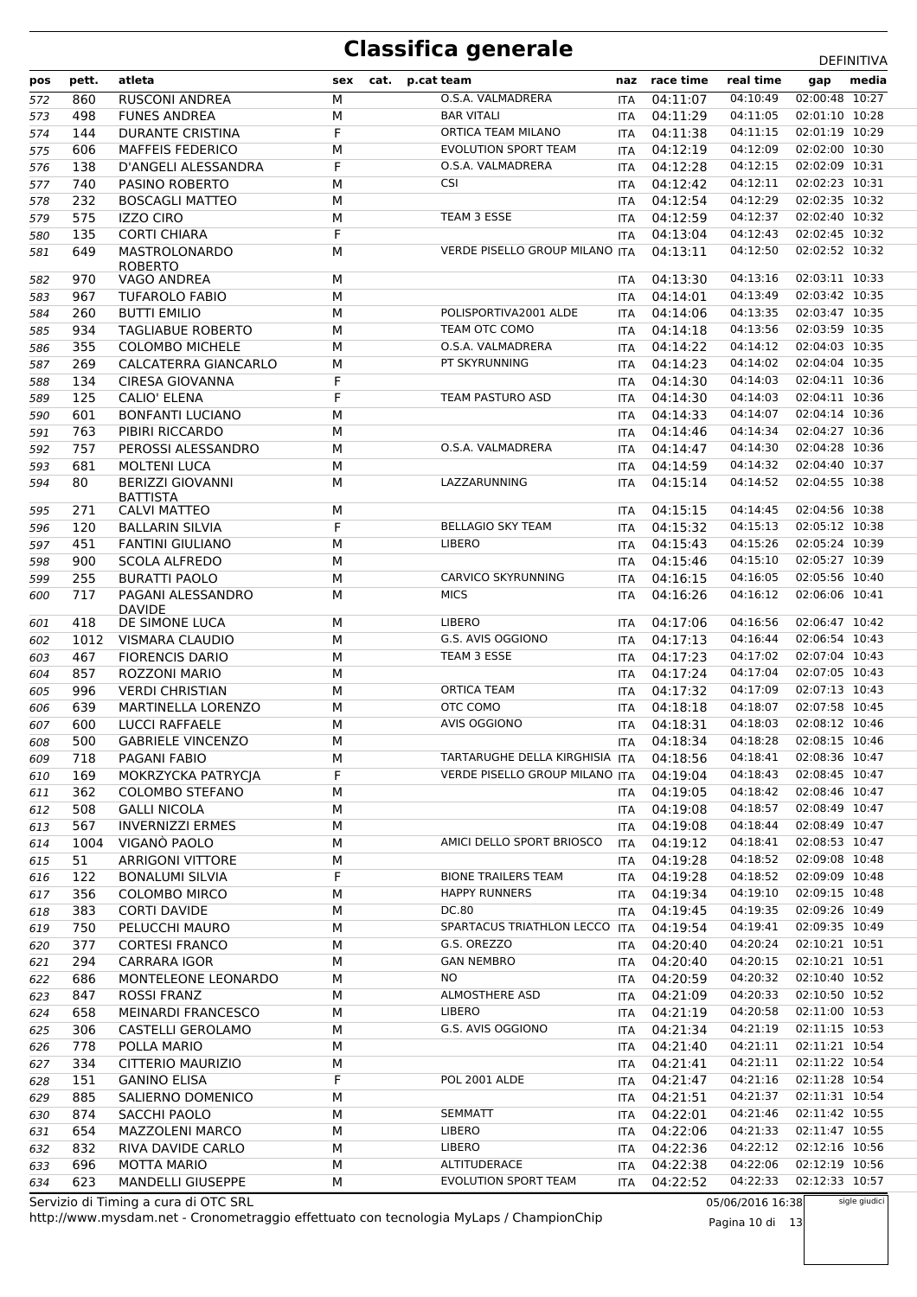| pos | pett. | atleta                               | sex | cat. | p.cat team |                                         | naz        | race time | real time                 | gap            | media         |
|-----|-------|--------------------------------------|-----|------|------------|-----------------------------------------|------------|-----------|---------------------------|----------------|---------------|
| 572 | 860   | <b>RUSCONI ANDREA</b>                | М   |      |            | O.S.A. VALMADRERA                       | <b>ITA</b> | 04:11:07  | 04:10:49                  | 02:00:48 10:27 |               |
| 573 | 498   | <b>FUNES ANDREA</b>                  | М   |      |            | <b>BAR VITALI</b>                       | <b>ITA</b> | 04:11:29  | 04:11:05                  | 02:01:10 10:28 |               |
| 574 | 144   | <b>DURANTE CRISTINA</b>              | F   |      |            | ORTICA TEAM MILANO                      | <b>ITA</b> | 04:11:38  | 04:11:15                  | 02:01:19 10:29 |               |
| 575 | 606   | <b>MAFFEIS FEDERICO</b>              | M   |      |            | <b>EVOLUTION SPORT TEAM</b>             | <b>ITA</b> | 04:12:19  | 04:12:09                  | 02:02:00 10:30 |               |
| 576 | 138   | D'ANGELI ALESSANDRA                  | F   |      |            | O.S.A. VALMADRERA                       | <b>ITA</b> | 04:12:28  | 04:12:15                  | 02:02:09 10:31 |               |
| 577 | 740   | <b>PASINO ROBERTO</b>                | М   |      |            | <b>CSI</b>                              | <b>ITA</b> | 04:12:42  | 04:12:11                  | 02:02:23 10:31 |               |
| 578 | 232   | <b>BOSCAGLI MATTEO</b>               | M   |      |            |                                         | ITA        | 04:12:54  | 04:12:29                  | 02:02:35 10:32 |               |
| 579 | 575   | <b>IZZO CIRO</b>                     | М   |      |            | TEAM 3 ESSE                             | <b>ITA</b> | 04:12:59  | 04:12:37                  | 02:02:40 10:32 |               |
| 580 | 135   | <b>CORTI CHIARA</b>                  | F   |      |            |                                         | <b>ITA</b> | 04:13:04  | 04:12:43                  | 02:02:45 10:32 |               |
| 581 | 649   | MASTROLONARDO                        | M   |      |            | VERDE PISELLO GROUP MILANO ITA          |            | 04:13:11  | 04:12:50                  | 02:02:52 10:32 |               |
| 582 | 970   | <b>ROBERTO</b><br><b>VAGO ANDREA</b> | M   |      |            |                                         | <b>ITA</b> | 04:13:30  | 04:13:16                  | 02:03:11 10:33 |               |
| 583 | 967   | <b>TUFAROLO FABIO</b>                | М   |      |            |                                         | <b>ITA</b> | 04:14:01  | 04:13:49                  | 02:03:42 10:35 |               |
| 584 | 260   | <b>BUTTI EMILIO</b>                  | М   |      |            | POLISPORTIVA2001 ALDE                   | ITA        | 04:14:06  | 04:13:35                  | 02:03:47 10:35 |               |
| 585 | 934   | <b>TAGLIABUE ROBERTO</b>             | M   |      |            | TEAM OTC COMO                           | <b>ITA</b> | 04:14:18  | 04:13:56                  | 02:03:59 10:35 |               |
| 586 | 355   | <b>COLOMBO MICHELE</b>               | М   |      |            | O.S.A. VALMADRERA                       | <b>ITA</b> | 04:14:22  | 04:14:12                  | 02:04:03 10:35 |               |
| 587 | 269   | CALCATERRA GIANCARLO                 | M   |      |            | PT SKYRUNNING                           | <b>ITA</b> | 04:14:23  | 04:14:02                  | 02:04:04 10:35 |               |
| 588 | 134   | <b>CIRESA GIOVANNA</b>               | F   |      |            |                                         | ITA        | 04:14:30  | 04:14:03                  | 02:04:11 10:36 |               |
| 589 | 125   | <b>CALIO' ELENA</b>                  | F   |      |            | TEAM PASTURO ASD                        | <b>ITA</b> | 04:14:30  | 04:14:03                  | 02:04:11 10:36 |               |
| 590 | 601   | <b>BONFANTI LUCIANO</b>              | M   |      |            |                                         | ITA        | 04:14:33  | 04:14:07                  | 02:04:14 10:36 |               |
| 591 | 763   | PIBIRI RICCARDO                      | M   |      |            |                                         | <b>ITA</b> | 04:14:46  | 04:14:34                  | 02:04:27 10:36 |               |
| 592 | 757   | PEROSSI ALESSANDRO                   | М   |      |            | O.S.A. VALMADRERA                       | <b>ITA</b> | 04:14:47  | 04:14:30                  | 02:04:28 10:36 |               |
| 593 | 681   | <b>MOLTENI LUCA</b>                  | М   |      |            |                                         | <b>ITA</b> | 04:14:59  | 04:14:32                  | 02:04:40 10:37 |               |
| 594 | 80    | <b>BERIZZI GIOVANNI</b>              | М   |      |            | LAZZARUNNING                            | <b>ITA</b> | 04:15:14  | 04:14:52                  | 02:04:55 10:38 |               |
|     |       | <b>BATTISTA</b>                      |     |      |            |                                         |            |           |                           |                |               |
| 595 | 271   | <b>CALVI MATTEO</b>                  | М   |      |            |                                         | ITA        | 04:15:15  | 04:14:45                  | 02:04:56 10:38 |               |
| 596 | 120   | <b>BALLARIN SILVIA</b>               | F   |      |            | <b>BELLAGIO SKY TEAM</b>                | <b>ITA</b> | 04:15:32  | 04:15:13                  | 02:05:12 10:38 |               |
| 597 | 451   | <b>FANTINI GIULIANO</b>              | M   |      |            | LIBERO                                  | ITA        | 04:15:43  | 04:15:26                  | 02:05:24 10:39 |               |
| 598 | 900   | <b>SCOLA ALFREDO</b>                 | м   |      |            |                                         | <b>ITA</b> | 04:15:46  | 04:15:10                  | 02:05:27 10:39 |               |
| 599 | 255   | <b>BURATTI PAOLO</b>                 | М   |      |            | <b>CARVICO SKYRUNNING</b>               | <b>ITA</b> | 04:16:15  | 04:16:05                  | 02:05:56 10:40 |               |
| 600 | 717   | PAGANI ALESSANDRO<br><b>DAVIDE</b>   | М   |      |            | <b>MICS</b>                             | <b>ITA</b> | 04:16:26  | 04:16:12                  | 02:06:06 10:41 |               |
| 601 | 418   | DE SIMONE LUCA                       | М   |      |            | <b>LIBERO</b>                           | ITA        | 04:17:06  | 04:16:56                  | 02:06:47 10:42 |               |
| 602 | 1012  | VISMARA CLAUDIO                      | M   |      |            | G.S. AVIS OGGIONO                       | <b>ITA</b> | 04:17:13  | 04:16:44                  | 02:06:54 10:43 |               |
| 603 | 467   | <b>FIORENCIS DARIO</b>               | M   |      |            | TEAM 3 ESSE                             | <b>ITA</b> | 04:17:23  | 04:17:02                  | 02:07:04 10:43 |               |
| 604 | 857   | ROZZONI MARIO                        | M   |      |            |                                         | <b>ITA</b> | 04:17:24  | 04:17:04                  | 02:07:05 10:43 |               |
| 605 | 996   | <b>VERDI CHRISTIAN</b>               | M   |      |            | <b>ORTICA TEAM</b>                      | <b>ITA</b> | 04:17:32  | 04:17:09                  | 02:07:13 10:43 |               |
| 606 | 639   | <b>MARTINELLA LORENZO</b>            | М   |      |            | OTC COMO                                | <b>ITA</b> | 04:18:18  | 04:18:07                  | 02:07:58 10:45 |               |
| 607 | 600   | <b>LUCCI RAFFAELE</b>                | М   |      |            | AVIS OGGIONO                            | <b>ITA</b> | 04:18:31  | 04:18:03                  | 02:08:12 10:46 |               |
| 608 | 500   | <b>GABRIELE VINCENZO</b>             | M   |      |            |                                         | <b>ITA</b> | 04:18:34  | 04:18:28                  | 02:08:15 10:46 |               |
| 609 | 718   | PAGANI FABIO                         | M   |      |            | TARTARUGHE DELLA KIRGHISIA ITA 04:18:56 |            |           | 04:18:41  02:08:36  10:47 |                |               |
| 610 | 169   | MOKRZYCKA PATRYCJA                   | F   |      |            | <b>VERDE PISELLO GROUP MILANO ITA</b>   |            | 04:19:04  | 04:18:43                  | 02:08:45 10:47 |               |
| 611 | 362   | <b>COLOMBO STEFANO</b>               | М   |      |            |                                         | ITA.       | 04:19:05  | 04:18:42                  | 02:08:46 10:47 |               |
| 612 | 508   | <b>GALLI NICOLA</b>                  | М   |      |            |                                         | ITA        | 04:19:08  | 04:18:57                  | 02:08:49 10:47 |               |
| 613 | 567   | <b>INVERNIZZI ERMES</b>              | М   |      |            |                                         | ITA        | 04:19:08  | 04:18:44                  | 02:08:49 10:47 |               |
| 614 | 1004  | VIGANO PAOLO                         | М   |      |            | AMICI DELLO SPORT BRIOSCO               | <b>ITA</b> | 04:19:12  | 04:18:41                  | 02:08:53 10:47 |               |
| 615 | 51    | <b>ARRIGONI VITTORE</b>              | М   |      |            |                                         | ITA        | 04:19:28  | 04:18:52                  | 02:09:08 10:48 |               |
| 616 | 122   | <b>BONALUMI SILVIA</b>               | F.  |      |            | <b>BIONE TRAILERS TEAM</b>              | ITA        | 04:19:28  | 04:18:52                  | 02:09:09 10:48 |               |
| 617 | 356   | <b>COLOMBO MIRCO</b>                 | М   |      |            | <b>HAPPY RUNNERS</b>                    | ITA        | 04:19:34  | 04:19:10                  | 02:09:15 10:48 |               |
| 618 | 383   | <b>CORTI DAVIDE</b>                  | М   |      |            | DC.80                                   | ITA        | 04:19:45  | 04:19:35                  | 02:09:26 10:49 |               |
| 619 | 750   | PELUCCHI MAURO                       | М   |      |            | SPARTACUS TRIATHLON LECCO               | <b>ITA</b> | 04:19:54  | 04:19:41                  | 02:09:35 10:49 |               |
| 620 | 377   | <b>CORTESI FRANCO</b>                | М   |      |            | G.S. OREZZO                             | ITA        | 04:20:40  | 04:20:24                  | 02:10:21 10:51 |               |
| 621 | 294   | <b>CARRARA IGOR</b>                  | М   |      |            | <b>GAN NEMBRO</b>                       | ITA        | 04:20:40  | 04:20:15                  | 02:10:21 10:51 |               |
| 622 | 686   | MONTELEONE LEONARDO                  | М   |      |            | ΝO                                      | ITA.       | 04:20:59  | 04:20:32                  | 02:10:40 10:52 |               |
| 623 | 847   | <b>ROSSI FRANZ</b>                   | М   |      |            | ALMOSTHERE ASD                          | ITA        | 04:21:09  | 04:20:33                  | 02:10:50 10:52 |               |
| 624 | 658   | <b>MEINARDI FRANCESCO</b>            | М   |      |            | <b>LIBERO</b>                           | ITA.       | 04:21:19  | 04:20:58                  | 02:11:00 10:53 |               |
| 625 | 306   | CASTELLI GEROLAMO                    | М   |      |            | G.S. AVIS OGGIONO                       | ITA        | 04:21:34  | 04:21:19                  | 02:11:15 10:53 |               |
| 626 | 778   | POLLA MARIO                          | М   |      |            |                                         | ITA        | 04:21:40  | 04:21:11                  | 02:11:21 10:54 |               |
| 627 | 334   | CITTERIO MAURIZIO                    | М   |      |            |                                         | ITA.       | 04:21:41  | 04:21:11                  | 02:11:22 10:54 |               |
| 628 | 151   | <b>GANINO ELISA</b>                  | F.  |      |            | POL 2001 ALDE                           | ITA        | 04:21:47  | 04:21:16                  | 02:11:28 10:54 |               |
| 629 | 885   | SALIERNO DOMENICO                    | М   |      |            |                                         | ITA        | 04:21:51  | 04:21:37                  | 02:11:31 10:54 |               |
| 630 | 874   | SACCHI PAOLO                         | М   |      |            | <b>SEMMATT</b>                          | ITA        | 04:22:01  | 04:21:46                  | 02:11:42 10:55 |               |
| 631 | 654   | <b>MAZZOLENI MARCO</b>               | М   |      |            | <b>LIBERO</b>                           | ITA        | 04:22:06  | 04:21:33                  | 02:11:47 10:55 |               |
| 632 | 832   | RIVA DAVIDE CARLO                    | М   |      |            | <b>LIBERO</b>                           | ITA        | 04:22:36  | 04:22:12                  | 02:12:16 10:56 |               |
| 633 | 696   | <b>MOTTA MARIO</b>                   | М   |      |            | ALTITUDERACE                            | ITA        | 04:22:38  | 04:22:06                  | 02:12:19 10:56 |               |
| 634 | 623   | <b>MANDELLI GIUSEPPE</b>             | М   |      |            | <b>EVOLUTION SPORT TEAM</b>             | ITA        | 04:22:52  | 04:22:33                  | 02:12:33 10:57 |               |
|     |       | Servizio di Timing a cura di OTC SRL |     |      |            |                                         |            |           | 05/06/2016 16:38          |                | sigle giudici |

http://www.mysdam.net - Cronometraggio effettuato con tecnologia MyLaps / ChampionChip Servizio di Timing a cura di OTC SRL

05/06/2016 16:38 Pagina 10 di 13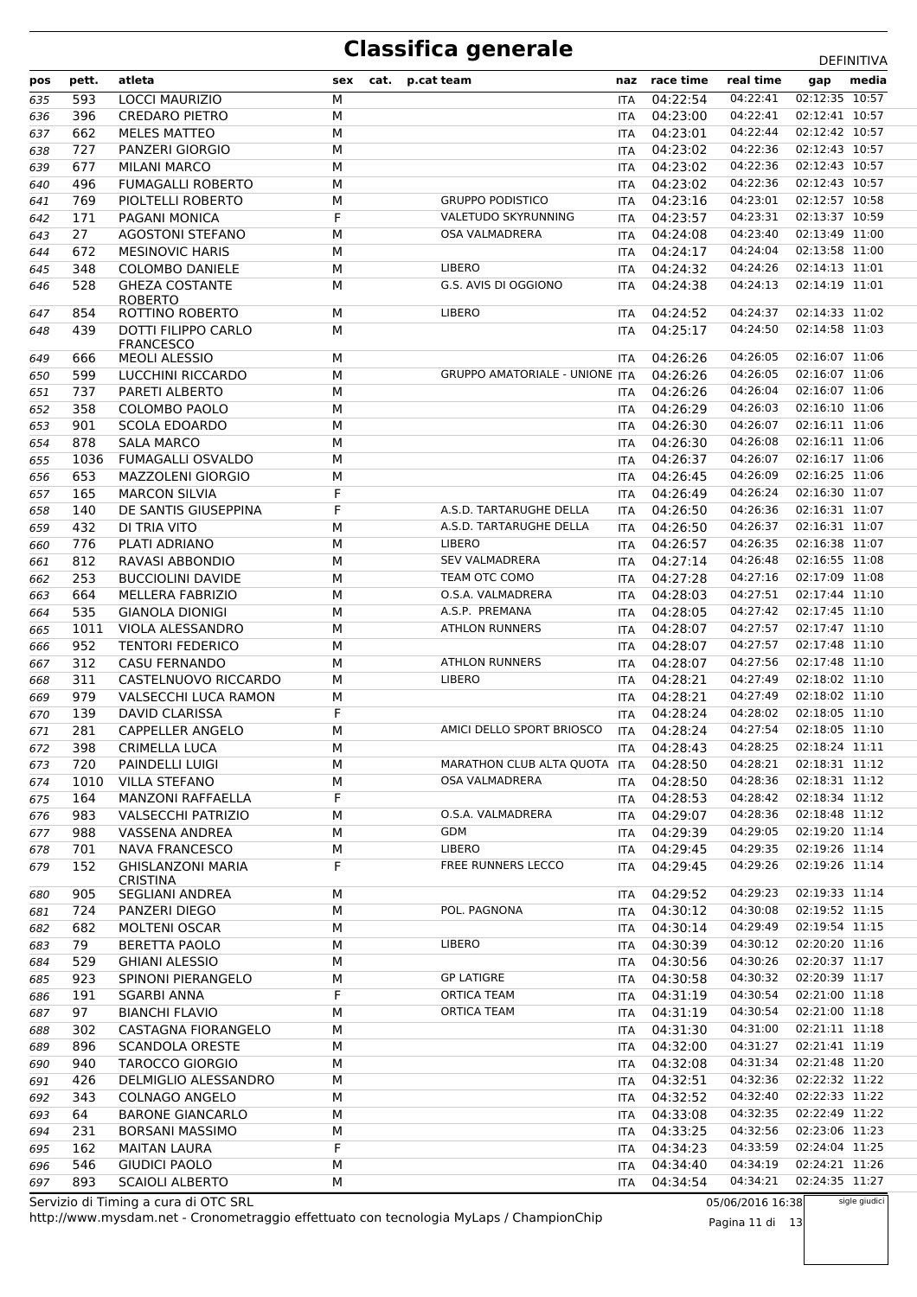| pos | pett. | atleta                                  | sex | cat. | p.cat team                            | naz        | race time    | real time        | gap            | media         |
|-----|-------|-----------------------------------------|-----|------|---------------------------------------|------------|--------------|------------------|----------------|---------------|
| 635 | 593   | <b>LOCCI MAURIZIO</b>                   | M   |      |                                       | <b>ITA</b> | 04:22:54     | 04:22:41         | 02:12:35 10:57 |               |
| 636 | 396   | <b>CREDARO PIETRO</b>                   | M   |      |                                       | <b>ITA</b> | 04:23:00     | 04:22:41         | 02:12:41 10:57 |               |
| 637 | 662   | <b>MELES MATTEO</b>                     | M   |      |                                       | ITA        | 04:23:01     | 04:22:44         | 02:12:42 10:57 |               |
| 638 | 727   | PANZERI GIORGIO                         | М   |      |                                       | ITA        | 04:23:02     | 04:22:36         | 02:12:43 10:57 |               |
| 639 | 677   | <b>MILANI MARCO</b>                     | M   |      |                                       | <b>ITA</b> | 04:23:02     | 04:22:36         | 02:12:43 10:57 |               |
| 640 | 496   | <b>FUMAGALLI ROBERTO</b>                | M   |      |                                       | ITA        | 04:23:02     | 04:22:36         | 02:12:43 10:57 |               |
| 641 | 769   | PIOLTELLI ROBERTO                       | М   |      | <b>GRUPPO PODISTICO</b>               | ITA        | 04:23:16     | 04:23:01         | 02:12:57 10:58 |               |
| 642 | 171   | PAGANI MONICA                           | F   |      | VALETUDO SKYRUNNING                   | <b>ITA</b> | 04:23:57     | 04:23:31         | 02:13:37 10:59 |               |
| 643 | 27    | <b>AGOSTONI STEFANO</b>                 | M   |      | <b>OSA VALMADRERA</b>                 | ITA        | 04:24:08     | 04:23:40         | 02:13:49 11:00 |               |
| 644 | 672   | <b>MESINOVIC HARIS</b>                  | М   |      |                                       | ITA        | 04:24:17     | 04:24:04         | 02:13:58 11:00 |               |
| 645 | 348   | <b>COLOMBO DANIELE</b>                  | M   |      | <b>LIBERO</b>                         | <b>ITA</b> | 04:24:32     | 04:24:26         | 02:14:13 11:01 |               |
| 646 | 528   | <b>GHEZA COSTANTE</b><br><b>ROBERTO</b> | M   |      | G.S. AVIS DI OGGIONO                  | ITA        | 04:24:38     | 04:24:13         | 02:14:19 11:01 |               |
| 647 | 854   | ROTTINO ROBERTO                         | М   |      | <b>LIBERO</b>                         | ITA        | 04:24:52     | 04:24:37         | 02:14:33 11:02 |               |
| 648 | 439   | DOTTI FILIPPO CARLO<br><b>FRANCESCO</b> | М   |      |                                       | ITA        | 04:25:17     | 04:24:50         | 02:14:58 11:03 |               |
| 649 | 666   | <b>MEOLI ALESSIO</b>                    | М   |      |                                       | <b>ITA</b> | 04:26:26     | 04:26:05         | 02:16:07 11:06 |               |
| 650 | 599   | LUCCHINI RICCARDO                       | М   |      | <b>GRUPPO AMATORIALE - UNIONE ITA</b> |            | 04:26:26     | 04:26:05         | 02:16:07 11:06 |               |
| 651 | 737   | PARETI ALBERTO                          | M   |      |                                       | <b>ITA</b> | 04:26:26     | 04:26:04         | 02:16:07 11:06 |               |
| 652 | 358   | <b>COLOMBO PAOLO</b>                    | М   |      |                                       | ITA        | 04:26:29     | 04:26:03         | 02:16:10 11:06 |               |
| 653 | 901   | <b>SCOLA EDOARDO</b>                    | M   |      |                                       | <b>ITA</b> | 04:26:30     | 04:26:07         | 02:16:11 11:06 |               |
| 654 | 878   | <b>SALA MARCO</b>                       | M   |      |                                       | ITA        | 04:26:30     | 04:26:08         | 02:16:11 11:06 |               |
| 655 | 1036  | <b>FUMAGALLI OSVALDO</b>                | М   |      |                                       | ITA        | 04:26:37     | 04:26:07         | 02:16:17 11:06 |               |
| 656 | 653   | <b>MAZZOLENI GIORGIO</b>                | M   |      |                                       | ITA        | 04:26:45     | 04:26:09         | 02:16:25 11:06 |               |
| 657 | 165   | <b>MARCON SILVIA</b>                    | F   |      |                                       | ITA        | 04:26:49     | 04:26:24         | 02:16:30 11:07 |               |
| 658 | 140   | DE SANTIS GIUSEPPINA                    | F   |      | A.S.D. TARTARUGHE DELLA               | ITA        | 04:26:50     | 04:26:36         | 02:16:31 11:07 |               |
| 659 | 432   | DI TRIA VITO                            | М   |      | A.S.D. TARTARUGHE DELLA               | <b>ITA</b> | 04:26:50     | 04:26:37         | 02:16:31 11:07 |               |
| 660 | 776   | PLATI ADRIANO                           | M   |      | <b>LIBERO</b>                         | ITA        | 04:26:57     | 04:26:35         | 02:16:38 11:07 |               |
| 661 | 812   | RAVASI ABBONDIO                         | М   |      | <b>SEV VALMADRERA</b>                 | <b>ITA</b> | 04:27:14     | 04:26:48         | 02:16:55 11:08 |               |
| 662 | 253   | <b>BUCCIOLINI DAVIDE</b>                | M   |      | TEAM OTC COMO                         | <b>ITA</b> | 04:27:28     | 04:27:16         | 02:17:09 11:08 |               |
| 663 | 664   | MELLERA FABRIZIO                        | M   |      | O.S.A. VALMADRERA                     | ITA        | 04:28:03     | 04:27:51         | 02:17:44 11:10 |               |
| 664 | 535   | <b>GIANOLA DIONIGI</b>                  | М   |      | A.S.P. PREMANA                        | ITA        | 04:28:05     | 04:27:42         | 02:17:45 11:10 |               |
| 665 | 1011  | VIOLA ALESSANDRO                        | M   |      | <b>ATHLON RUNNERS</b>                 | <b>ITA</b> | 04:28:07     | 04:27:57         | 02:17:47 11:10 |               |
| 666 | 952   | <b>TENTORI FEDERICO</b>                 | M   |      |                                       | ITA        | 04:28:07     | 04:27:57         | 02:17:48 11:10 |               |
| 667 | 312   | <b>CASU FERNANDO</b>                    | М   |      | <b>ATHLON RUNNERS</b>                 | ITA        | 04:28:07     | 04:27:56         | 02:17:48 11:10 |               |
| 668 | 311   | CASTELNUOVO RICCARDO                    | M   |      | <b>LIBERO</b>                         | <b>ITA</b> | 04:28:21     | 04:27:49         | 02:18:02 11:10 |               |
| 669 | 979   | VALSECCHI LUCA RAMON                    | M   |      |                                       | ITA        | 04:28:21     | 04:27:49         | 02:18:02 11:10 |               |
| 670 | 139   | <b>DAVID CLARISSA</b>                   | F   |      |                                       | ITA        | 04:28:24     | 04:28:02         | 02:18:05 11:10 |               |
| 671 | 281   | <b>CAPPELLER ANGELO</b>                 | M   |      | AMICI DELLO SPORT BRIOSCO             | <b>ITA</b> | 04:28:24     | 04:27:54         | 02:18:05 11:10 |               |
| 672 | 398   | CRIMELLA LUCA                           | M   |      |                                       | <b>ITA</b> | 04:28:43     | 04:28:25         | 02:18:24 11:11 |               |
| 673 | 720   | PAINDELLI LUIGI                         | М   |      | MARATHON CLUB ALTA QUOTA ITA          |            | 04:28:50     | 04:28:21         | 02:18:31 11:12 |               |
| 674 | 1010  | <b>VILLA STEFANO</b>                    | M   |      | OSA VALMADRERA                        | ITA.       | 04:28:50     | 04:28:36         | 02:18:31 11:12 |               |
| 675 | 164   | <b>MANZONI RAFFAELLA</b>                | F   |      |                                       | ITA.       | 04:28:53     | 04:28:42         | 02:18:34 11:12 |               |
| 676 | 983   | <b>VALSECCHI PATRIZIO</b>               | М   |      | O.S.A. VALMADRERA                     |            | ITA 04:29:07 | 04:28:36         | 02:18:48 11:12 |               |
| 677 | 988   | VASSENA ANDREA                          | М   |      | GDM                                   | ITA        | 04:29:39     | 04:29:05         | 02:19:20 11:14 |               |
| 678 | 701   | <b>NAVA FRANCESCO</b>                   | М   |      | <b>LIBERO</b>                         | ITA        | 04:29:45     | 04:29:35         | 02:19:26 11:14 |               |
| 679 | 152   | <b>GHISLANZONI MARIA</b>                | F   |      | FREE RUNNERS LECCO                    | ITA        | 04:29:45     | 04:29:26         | 02:19:26 11:14 |               |
| 680 | 905   | <b>CRISTINA</b><br>SEGLIANI ANDREA      | М   |      |                                       | ITA        | 04:29:52     | 04:29:23         | 02:19:33 11:14 |               |
|     |       |                                         |     |      | POL. PAGNONA                          |            | 04:30:12     | 04:30:08         | 02:19:52 11:15 |               |
| 681 | 724   | PANZERI DIEGO                           | М   |      |                                       | ITA        |              | 04:29:49         | 02:19:54 11:15 |               |
| 682 | 682   | MOLTENI OSCAR<br><b>BERETTA PAOLO</b>   | М   |      | <b>LIBERO</b>                         | ITA.       | 04:30:14     | 04:30:12         | 02:20:20 11:16 |               |
| 683 | 79    |                                         | М   |      |                                       | ITA        | 04:30:39     | 04:30:26         | 02:20:37 11:17 |               |
| 684 | 529   | <b>GHIANI ALESSIO</b>                   | М   |      | <b>GP LATIGRE</b>                     | ITA        | 04:30:56     |                  | 02:20:39 11:17 |               |
| 685 | 923   | SPINONI PIERANGELO                      | М   |      |                                       | ITA        | 04:30:58     | 04:30:32         |                |               |
| 686 | 191   | SGARBI ANNA                             | F   |      | <b>ORTICA TEAM</b>                    | ITA        | 04:31:19     | 04:30:54         | 02:21:00 11:18 |               |
| 687 | 97    | <b>BIANCHI FLAVIO</b>                   | М   |      | ORTICA TEAM                           | ITA        | 04:31:19     | 04:30:54         | 02:21:00 11:18 |               |
| 688 | 302   | CASTAGNA FIORANGELO                     | М   |      |                                       | ITA.       | 04:31:30     | 04:31:00         | 02:21:11 11:18 |               |
| 689 | 896   | <b>SCANDOLA ORESTE</b>                  | М   |      |                                       | ITA        | 04:32:00     | 04:31:27         | 02:21:41 11:19 |               |
| 690 | 940   | <b>TAROCCO GIORGIO</b>                  | М   |      |                                       |            | ITA 04:32:08 | 04:31:34         | 02:21:48 11:20 |               |
| 691 | 426   | DELMIGLIO ALESSANDRO                    | М   |      |                                       | ITA        | 04:32:51     | 04:32:36         | 02:22:32 11:22 |               |
| 692 | 343   | COLNAGO ANGELO                          | М   |      |                                       | ITA        | 04:32:52     | 04:32:40         | 02:22:33 11:22 |               |
| 693 | 64    | <b>BARONE GIANCARLO</b>                 | М   |      |                                       | ITA        | 04:33:08     | 04:32:35         | 02:22:49 11:22 |               |
| 694 | 231   | <b>BORSANI MASSIMO</b>                  | М   |      |                                       | ITA.       | 04:33:25     | 04:32:56         | 02:23:06 11:23 |               |
| 695 | 162   | <b>MAITAN LAURA</b>                     | F   |      |                                       | ITA.       | 04:34:23     | 04:33:59         | 02:24:04 11:25 |               |
| 696 | 546   | <b>GIUDICI PAOLO</b>                    | М   |      |                                       | ITA        | 04:34:40     | 04:34:19         | 02:24:21 11:26 |               |
| 697 | 893   | <b>SCAIOLI ALBERTO</b>                  | м   |      |                                       | ITA        | 04:34:54     | 04:34:21         | 02:24:35 11:27 |               |
|     |       | Servizio di Timing a cura di OTC SRL    |     |      |                                       |            |              | 05/06/2016 16:38 |                | sigle giudici |

http://www.mysdam.net - Cronometraggio effettuato con tecnologia MyLaps / ChampionChip Servizio di Timing a cura di OTC SRL

05/06/2016 16:38 Pagina 11 di 13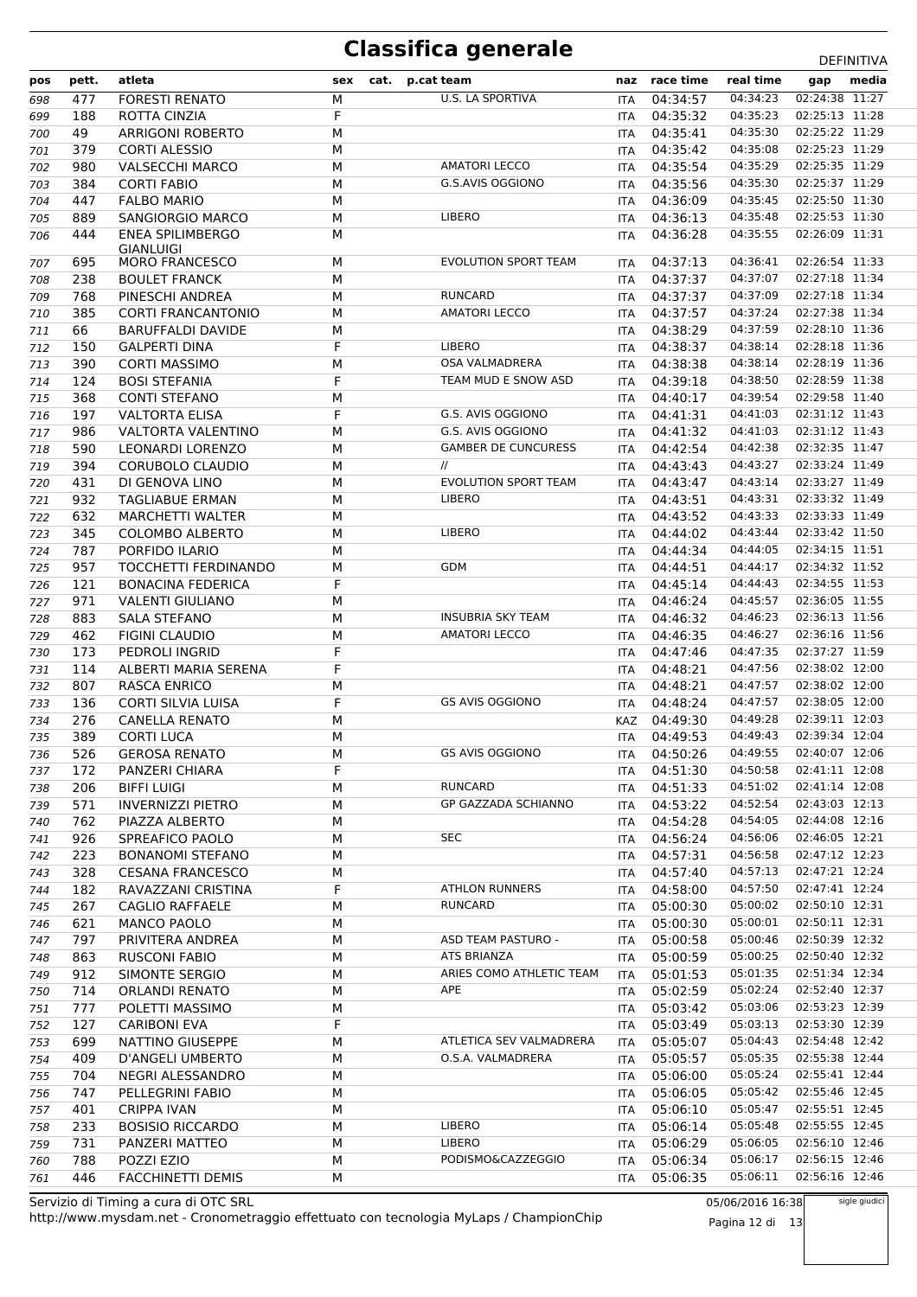| pos        | pett.      | atleta                                        | sex    | cat. | p.cat team                  | naz                      | race time            | real time            | gap                              | media |
|------------|------------|-----------------------------------------------|--------|------|-----------------------------|--------------------------|----------------------|----------------------|----------------------------------|-------|
| 698        | 477        | <b>FORESTI RENATO</b>                         | М      |      | U.S. LA SPORTIVA            | <b>ITA</b>               | 04:34:57             | 04:34:23             | 02:24:38 11:27                   |       |
| 699        | 188        | ROTTA CINZIA                                  | F      |      |                             | <b>ITA</b>               | 04:35:32             | 04:35:23             | 02:25:13 11:28                   |       |
| 700        | 49         | <b>ARRIGONI ROBERTO</b>                       | M      |      |                             | <b>ITA</b>               | 04:35:41             | 04:35:30             | 02:25:22 11:29                   |       |
| 701        | 379        | <b>CORTI ALESSIO</b>                          | M      |      |                             | <b>ITA</b>               | 04:35:42             | 04:35:08             | 02:25:23 11:29                   |       |
| 702        | 980        | <b>VALSECCHI MARCO</b>                        | М      |      | <b>AMATORI LECCO</b>        | ITA                      | 04:35:54             | 04:35:29             | 02:25:35 11:29                   |       |
| 703        | 384        | <b>CORTI FABIO</b>                            | M      |      | G.S.AVIS OGGIONO            | <b>ITA</b>               | 04:35:56             | 04:35:30             | 02:25:37 11:29                   |       |
| 704        | 447        | <b>FALBO MARIO</b>                            | М      |      |                             | <b>ITA</b>               | 04:36:09             | 04:35:45             | 02:25:50 11:30                   |       |
| 705        | 889        | SANGIORGIO MARCO                              | М      |      | <b>LIBERO</b>               | ITA                      | 04:36:13             | 04:35:48             | 02:25:53 11:30                   |       |
| 706        | 444        | <b>ENEA SPILIMBERGO</b>                       | M      |      |                             | ITA                      | 04:36:28             | 04:35:55             | 02:26:09 11:31                   |       |
|            |            | GIANLUIGI                                     |        |      | <b>EVOLUTION SPORT TEAM</b> |                          |                      | 04:36:41             | 02:26:54 11:33                   |       |
| 707        | 695<br>238 | <b>MORO FRANCESCO</b><br><b>BOULET FRANCK</b> | M<br>M |      |                             | <b>ITA</b><br><b>ITA</b> | 04:37:13<br>04:37:37 | 04:37:07             | 02:27:18 11:34                   |       |
| 708<br>709 | 768        | PINESCHI ANDREA                               | М      |      | <b>RUNCARD</b>              | ITA                      | 04:37:37             | 04:37:09             | 02:27:18 11:34                   |       |
| 710        | 385        | <b>CORTI FRANCANTONIO</b>                     | M      |      | <b>AMATORI LECCO</b>        | <b>ITA</b>               | 04:37:57             | 04:37:24             | 02:27:38 11:34                   |       |
| 711        | 66         | <b>BARUFFALDI DAVIDE</b>                      | М      |      |                             | <b>ITA</b>               | 04:38:29             | 04:37:59             | 02:28:10 11:36                   |       |
| 712        | 150        | <b>GALPERTI DINA</b>                          | F      |      | <b>LIBERO</b>               | ITA                      | 04:38:37             | 04:38:14             | 02:28:18 11:36                   |       |
| 713        | 390        | <b>CORTI MASSIMO</b>                          | M      |      | OSA VALMADRERA              | ITA                      | 04:38:38             | 04:38:14             | 02:28:19 11:36                   |       |
| 714        | 124        | <b>BOSI STEFANIA</b>                          | F      |      | TEAM MUD E SNOW ASD         | <b>ITA</b>               | 04:39:18             | 04:38:50             | 02:28:59 11:38                   |       |
| 715        | 368        | <b>CONTI STEFANO</b>                          | M      |      |                             | <b>ITA</b>               | 04:40:17             | 04:39:54             | 02:29:58 11:40                   |       |
| 716        | 197        | <b>VALTORTA ELISA</b>                         | F      |      | G.S. AVIS OGGIONO           | <b>ITA</b>               | 04:41:31             | 04:41:03             | 02:31:12 11:43                   |       |
| 717        | 986        | <b>VALTORTA VALENTINO</b>                     | М      |      | G.S. AVIS OGGIONO           | ITA                      | 04:41:32             | 04:41:03             | 02:31:12 11:43                   |       |
| 718        | 590        | LEONARDI LORENZO                              | M      |      | <b>GAMBER DE CUNCURESS</b>  | <b>ITA</b>               | 04:42:54             | 04:42:38             | 02:32:35 11:47                   |       |
| 719        | 394        | CORUBOLO CLAUDIO                              | М      |      | $^{\prime\prime}$           | ITA                      | 04:43:43             | 04:43:27             | 02:33:24 11:49                   |       |
| 720        | 431        | DI GENOVA LINO                                | М      |      | <b>EVOLUTION SPORT TEAM</b> | <b>ITA</b>               | 04:43:47             | 04:43:14             | 02:33:27 11:49                   |       |
| 721        | 932        | <b>TAGLIABUE ERMAN</b>                        | М      |      | <b>LIBERO</b>               | ITA                      | 04:43:51             | 04:43:31             | 02:33:32 11:49                   |       |
| 722        | 632        | <b>MARCHETTI WALTER</b>                       | M      |      |                             | <b>ITA</b>               | 04:43:52             | 04:43:33             | 02:33:33 11:49                   |       |
| 723        | 345        | <b>COLOMBO ALBERTO</b>                        | М      |      | <b>LIBERO</b>               | <b>ITA</b>               | 04:44:02             | 04:43:44             | 02:33:42 11:50                   |       |
| 724        | 787        | PORFIDO ILARIO                                | M      |      |                             | ITA                      | 04:44:34             | 04:44:05             | 02:34:15 11:51                   |       |
| 725        | 957        | TOCCHETTI FERDINANDO                          | M      |      | <b>GDM</b>                  | ITA                      | 04:44:51             | 04:44:17             | 02:34:32 11:52                   |       |
| 726        | 121        | <b>BONACINA FEDERICA</b>                      | F      |      |                             | <b>ITA</b>               | 04:45:14             | 04:44:43             | 02:34:55 11:53                   |       |
| 727        | 971        | <b>VALENTI GIULIANO</b>                       | M      |      |                             | <b>ITA</b>               | 04:46:24             | 04:45:57             | 02:36:05 11:55                   |       |
| 728        | 883        | <b>SALA STEFANO</b>                           | M      |      | <b>INSUBRIA SKY TEAM</b>    | <b>ITA</b>               | 04:46:32             | 04:46:23             | 02:36:13 11:56                   |       |
| 729        | 462        | <b>FIGINI CLAUDIO</b>                         | M      |      | <b>AMATORI LECCO</b>        | ITA                      | 04:46:35             | 04:46:27             | 02:36:16 11:56                   |       |
| 730        | 173        | PEDROLI INGRID                                | F      |      |                             | <b>ITA</b>               | 04:47:46             | 04:47:35             | 02:37:27 11:59                   |       |
| 731        | 114        | ALBERTI MARIA SERENA                          | F      |      |                             | ITA                      | 04:48:21             | 04:47:56             | 02:38:02 12:00                   |       |
| 732        | 807        | <b>RASCA ENRICO</b>                           | M      |      |                             | <b>ITA</b>               | 04:48:21             | 04:47:57             | 02:38:02 12:00                   |       |
| 733        | 136        | <b>CORTI SILVIA LUISA</b>                     | F      |      | <b>GS AVIS OGGIONO</b>      | ITA                      | 04:48:24             | 04:47:57             | 02:38:05 12:00                   |       |
| 734        | 276        | <b>CANELLA RENATO</b>                         | M      |      |                             | KAZ                      | 04:49:30             | 04:49:28             | 02:39:11 12:03                   |       |
| 735        | 389        | <b>CORTI LUCA</b>                             | M      |      |                             | <b>ITA</b>               | 04:49:53             | 04:49:43             | 02:39:34 12:04                   |       |
| 736        | 526        | <b>GEROSA RENATO</b>                          | М      |      | GS AVIS OGGIONO             | ITA                      | 04:50:26             | 04:49:55             | 02:40:07 12:06                   |       |
| 737        | 172        | PANZERI CHIARA                                | F      |      |                             | <b>ITA</b>               | 04:51:30             | 04:50:58             | 02:41:11 12:08                   |       |
| 738        | 206        | <b>BIFFI LUIGI</b>                            | M      |      | <b>RUNCARD</b>              | ITA                      | 04:51:33             | 04:51:02             | 02:41:14 12:08                   |       |
| 739        | 571        | <b>INVERNIZZI PIETRO</b>                      | M      |      | GP GAZZADA SCHIANNO         | ITA                      | 04:53:22             | 04:52:54             | 02:43:03 12:13                   |       |
| 740        | 762        | PIAZZA ALBERTO                                | M      |      |                             | ITA                      | 04:54:28             | 04:54:05             | 02:44:08 12:16                   |       |
| 741        | 926        | SPREAFICO PAOLO                               | M      |      | <b>SEC</b>                  | ITA                      | 04:56:24             | 04:56:06<br>04:56:58 | 02:46:05 12:21<br>02:47:12 12:23 |       |
| 742        | 223        | <b>BONANOMI STEFANO</b>                       | М      |      |                             | ITA.                     | 04:57:31             | 04:57:13             | 02:47:21 12:24                   |       |
| 743        | 328        | <b>CESANA FRANCESCO</b>                       | М<br>F |      | <b>ATHLON RUNNERS</b>       | ITA                      | 04:57:40             | 04:57:50             | 02:47:41 12:24                   |       |
| 744        | 182<br>267 | RAVAZZANI CRISTINA<br>CAGLIO RAFFAELE         | М      |      | <b>RUNCARD</b>              | ITA<br>ITA               | 04:58:00<br>05:00:30 | 05:00:02             | 02:50:10 12:31                   |       |
| 745<br>746 | 621        | <b>MANCO PAOLO</b>                            | M      |      |                             | ITA                      | 05:00:30             | 05:00:01             | 02:50:11 12:31                   |       |
| 747        | 797        | PRIVITERA ANDREA                              | М      |      | ASD TEAM PASTURO -          | ITA                      | 05:00:58             | 05:00:46             | 02:50:39 12:32                   |       |
| 748        | 863        | <b>RUSCONI FABIO</b>                          | М      |      | ATS BRIANZA                 | ITA                      | 05:00:59             | 05:00:25             | 02:50:40 12:32                   |       |
| 749        | 912        | SIMONTE SERGIO                                | M      |      | ARIES COMO ATHLETIC TEAM    | ITA                      | 05:01:53             | 05:01:35             | 02:51:34 12:34                   |       |
| 750        | 714        | <b>ORLANDI RENATO</b>                         | М      |      | APE                         | ITA                      | 05:02:59             | 05:02:24             | 02:52:40 12:37                   |       |
| 751        | 777        | POLETTI MASSIMO                               | М      |      |                             | ITA                      | 05:03:42             | 05:03:06             | 02:53:23 12:39                   |       |
| 752        | 127        | <b>CARIBONI EVA</b>                           | F      |      |                             | ITA                      | 05:03:49             | 05:03:13             | 02:53:30 12:39                   |       |
| 753        | 699        | NATTINO GIUSEPPE                              | M      |      | ATLETICA SEV VALMADRERA     | ITA                      | 05:05:07             | 05:04:43             | 02:54:48 12:42                   |       |
| 754        | 409        | D'ANGELI UMBERTO                              | М      |      | O.S.A. VALMADRERA           | ITA                      | 05:05:57             | 05:05:35             | 02:55:38 12:44                   |       |
| 755        | 704        | NEGRI ALESSANDRO                              | М      |      |                             | ITA                      | 05:06:00             | 05:05:24             | 02:55:41 12:44                   |       |
| 756        | 747        | PELLEGRINI FABIO                              | М      |      |                             | ITA                      | 05:06:05             | 05:05:42             | 02:55:46 12:45                   |       |
| 757        | 401        | <b>CRIPPA IVAN</b>                            | М      |      |                             | ITA                      | 05:06:10             | 05:05:47             | 02:55:51 12:45                   |       |
| 758        | 233        | <b>BOSISIO RICCARDO</b>                       | M      |      | LIBERO                      | ITA                      | 05:06:14             | 05:05:48             | 02:55:55 12:45                   |       |
| 759        | 731        | PANZERI MATTEO                                | М      |      | <b>LIBERO</b>               | ITA                      | 05:06:29             | 05:06:05             | 02:56:10 12:46                   |       |
| 760        | 788        | POZZI EZIO                                    | М      |      | PODISMO&CAZZEGGIO           | ITA                      | 05:06:34             | 05:06:17             | 02:56:15 12:46                   |       |
| 761        | 446        | FACCHINETTI DEMIS                             | М      |      |                             | ITA                      | 05:06:35             | 05:06:11             | 02:56:16 12:46                   |       |

http://www.mysdam.net - Cronometraggio effettuato con tecnologia MyLaps / ChampionChip Servizio di Timing a cura di OTC SRL

05/06/2016 16:38 Pagina 12 di 13